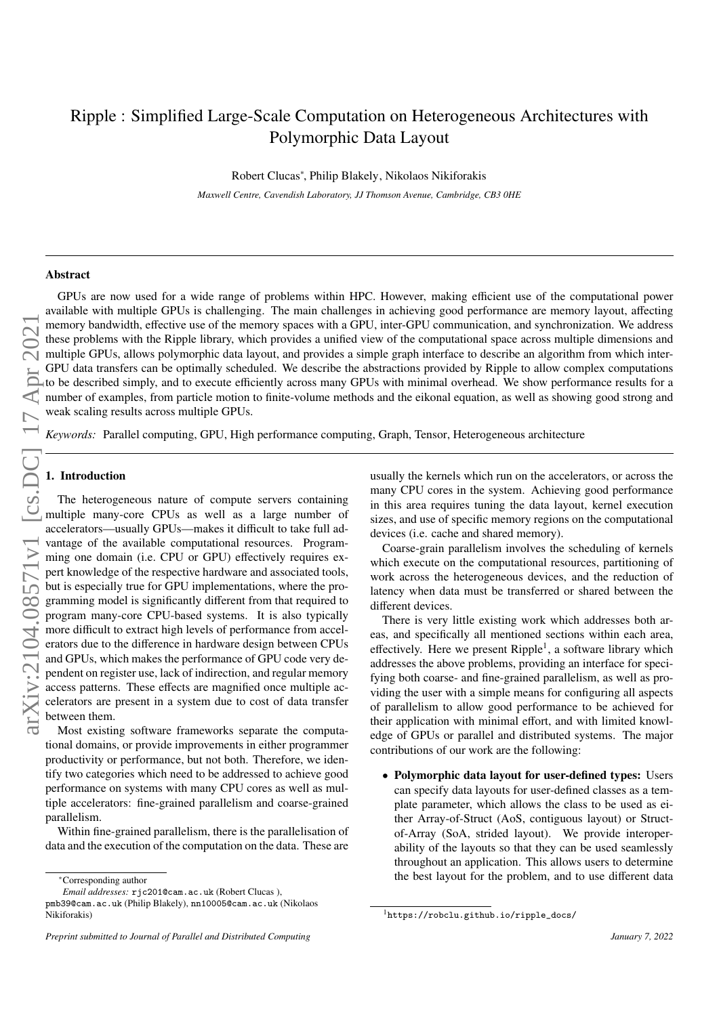# Ripple : Simplified Large-Scale Computation on Heterogeneous Architectures with Polymorphic Data Layout

Robert Clucas<sup>∗</sup> , Philip Blakely, Nikolaos Nikiforakis

*Maxwell Centre, Cavendish Laboratory, JJ Thomson Avenue, Cambridge, CB3 0HE*

# Abstract

GPUs are now used for a wide range of problems within HPC. However, making efficient use of the computational power available with multiple GPUs is challenging. The main challenges in achieving good performance are memory layout, affecting memory bandwidth, effective use of the memory spaces with a GPU, inter-GPU communication, and synchronization. We address these problems with the Ripple library, which provides a unified view of the computational space across multiple dimensions and multiple GPUs, allows polymorphic data layout, and provides a simple graph interface to describe an algorithm from which inter-GPU data transfers can be optimally scheduled. We describe the abstractions provided by Ripple to allow complex computations to be described simply, and to execute efficiently across many GPUs with minimal overhead. We show performance results for a number of examples, from particle motion to finite-volume methods and the eikonal equation, as well as showing good strong and weak scaling results across multiple GPUs.

*Keywords:* Parallel computing, GPU, High performance computing, Graph, Tensor, Heterogeneous architecture

### 1. Introduction

The heterogeneous nature of compute servers containing multiple many-core CPUs as well as a large number of accelerators—usually GPUs—makes it difficult to take full advantage of the available computational resources. Programming one domain (i.e. CPU or GPU) effectively requires expert knowledge of the respective hardware and associated tools, but is especially true for GPU implementations, where the programming model is significantly different from that required to program many-core CPU-based systems. It is also typically more difficult to extract high levels of performance from accelerators due to the difference in hardware design between CPUs and GPUs, which makes the performance of GPU code very dependent on register use, lack of indirection, and regular memory access patterns. These effects are magnified once multiple accelerators are present in a system due to cost of data transfer between them.

Most existing software frameworks separate the computational domains, or provide improvements in either programmer productivity or performance, but not both. Therefore, we identify two categories which need to be addressed to achieve good performance on systems with many CPU cores as well as multiple accelerators: fine-grained parallelism and coarse-grained parallelism.

Within fine-grained parallelism, there is the parallelisation of data and the execution of the computation on the data. These are usually the kernels which run on the accelerators, or across the many CPU cores in the system. Achieving good performance in this area requires tuning the data layout, kernel execution sizes, and use of specific memory regions on the computational devices (i.e. cache and shared memory).

Coarse-grain parallelism involves the scheduling of kernels which execute on the computational resources, partitioning of work across the heterogeneous devices, and the reduction of latency when data must be transferred or shared between the different devices.

There is very little existing work which addresses both areas, and specifically all mentioned sections within each area, effectively. Here we present Ripple<sup>[1](#page-0-0)</sup>, a software library which addresses the above problems, providing an interface for specifying both coarse- and fine-grained parallelism, as well as providing the user with a simple means for configuring all aspects of parallelism to allow good performance to be achieved for their application with minimal effort, and with limited knowledge of GPUs or parallel and distributed systems. The major contributions of our work are the following:

• Polymorphic data layout for user-defined types: Users can specify data layouts for user-defined classes as a template parameter, which allows the class to be used as either Array-of-Struct (AoS, contiguous layout) or Structof-Array (SoA, strided layout). We provide interoperability of the layouts so that they can be used seamlessly throughout an application. This allows users to determine the best layout for the problem, and to use different data

<sup>∗</sup>Corresponding author

*Email addresses:* rjc201@cam.ac.uk (Robert Clucas ),

pmb39@cam.ac.uk (Philip Blakely), nn10005@cam.ac.uk (Nikolaos Nikiforakis)

<span id="page-0-0"></span><sup>1</sup>[https://robclu.github.io/ripple\\_docs/](https://robclu.github.io/ripple_docs/)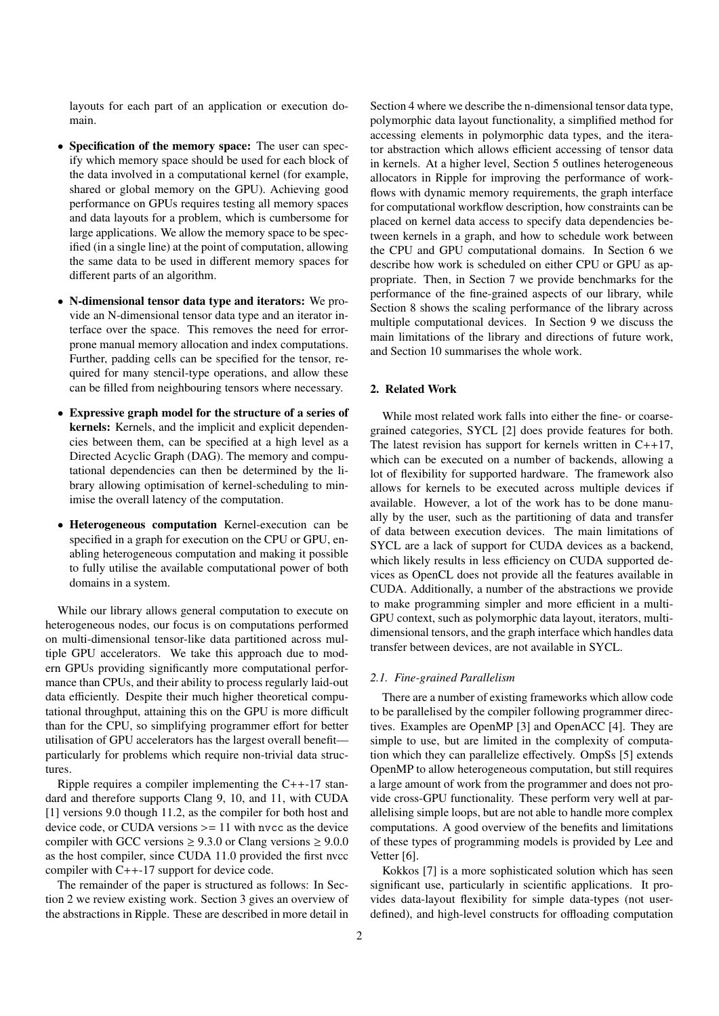layouts for each part of an application or execution domain.

- Specification of the memory space: The user can specify which memory space should be used for each block of the data involved in a computational kernel (for example, shared or global memory on the GPU). Achieving good performance on GPUs requires testing all memory spaces and data layouts for a problem, which is cumbersome for large applications. We allow the memory space to be specified (in a single line) at the point of computation, allowing the same data to be used in different memory spaces for different parts of an algorithm.
- N-dimensional tensor data type and iterators: We provide an N-dimensional tensor data type and an iterator interface over the space. This removes the need for errorprone manual memory allocation and index computations. Further, padding cells can be specified for the tensor, required for many stencil-type operations, and allow these can be filled from neighbouring tensors where necessary.
- Expressive graph model for the structure of a series of kernels: Kernels, and the implicit and explicit dependencies between them, can be specified at a high level as a Directed Acyclic Graph (DAG). The memory and computational dependencies can then be determined by the library allowing optimisation of kernel-scheduling to minimise the overall latency of the computation.
- Heterogeneous computation Kernel-execution can be specified in a graph for execution on the CPU or GPU, enabling heterogeneous computation and making it possible to fully utilise the available computational power of both domains in a system.

While our library allows general computation to execute on heterogeneous nodes, our focus is on computations performed on multi-dimensional tensor-like data partitioned across multiple GPU accelerators. We take this approach due to modern GPUs providing significantly more computational performance than CPUs, and their ability to process regularly laid-out data efficiently. Despite their much higher theoretical computational throughput, attaining this on the GPU is more difficult than for the CPU, so simplifying programmer effort for better utilisation of GPU accelerators has the largest overall benefit particularly for problems which require non-trivial data structures.

Ripple requires a compiler implementing the C++-17 standard and therefore supports Clang 9, 10, and 11, with CUDA [\[1\]](#page-17-0) versions 9.0 though 11.2, as the compiler for both host and device code, or CUDA versions  $>= 11$  with nvcc as the device compiler with GCC versions  $\geq 9.3.0$  or Clang versions  $\geq 9.0.0$ as the host compiler, since CUDA 11.0 provided the first nvcc compiler with C++-17 support for device code.

The remainder of the paper is structured as follows: In Section [2](#page-1-0) we review existing work. Section [3](#page-2-0) gives an overview of the abstractions in Ripple. These are described in more detail in

Section [4](#page-2-1) where we describe the n-dimensional tensor data type, polymorphic data layout functionality, a simplified method for accessing elements in polymorphic data types, and the iterator abstraction which allows efficient accessing of tensor data in kernels. At a higher level, Section [5](#page-4-0) outlines heterogeneous allocators in Ripple for improving the performance of workflows with dynamic memory requirements, the graph interface for computational workflow description, how constraints can be placed on kernel data access to specify data dependencies between kernels in a graph, and how to schedule work between the CPU and GPU computational domains. In Section [6](#page-10-0) we describe how work is scheduled on either CPU or GPU as appropriate. Then, in Section [7](#page-12-0) we provide benchmarks for the performance of the fine-grained aspects of our library, while Section [8](#page-14-0) shows the scaling performance of the library across multiple computational devices. In Section [9](#page-15-0) we discuss the main limitations of the library and directions of future work, and Section [10](#page-16-0) summarises the whole work.

# <span id="page-1-0"></span>2. Related Work

While most related work falls into either the fine- or coarsegrained categories, SYCL [\[2\]](#page-17-1) does provide features for both. The latest revision has support for kernels written in  $C++17$ , which can be executed on a number of backends, allowing a lot of flexibility for supported hardware. The framework also allows for kernels to be executed across multiple devices if available. However, a lot of the work has to be done manually by the user, such as the partitioning of data and transfer of data between execution devices. The main limitations of SYCL are a lack of support for CUDA devices as a backend, which likely results in less efficiency on CUDA supported devices as OpenCL does not provide all the features available in CUDA. Additionally, a number of the abstractions we provide to make programming simpler and more efficient in a multi-GPU context, such as polymorphic data layout, iterators, multidimensional tensors, and the graph interface which handles data transfer between devices, are not available in SYCL.

### *2.1. Fine-grained Parallelism*

There are a number of existing frameworks which allow code to be parallelised by the compiler following programmer directives. Examples are OpenMP [\[3\]](#page-17-2) and OpenACC [\[4\]](#page-17-3). They are simple to use, but are limited in the complexity of computation which they can parallelize effectively. OmpSs [\[5\]](#page-17-4) extends OpenMP to allow heterogeneous computation, but still requires a large amount of work from the programmer and does not provide cross-GPU functionality. These perform very well at parallelising simple loops, but are not able to handle more complex computations. A good overview of the benefits and limitations of these types of programming models is provided by Lee and Vetter [\[6\]](#page-17-5).

Kokkos [\[7\]](#page-17-6) is a more sophisticated solution which has seen significant use, particularly in scientific applications. It provides data-layout flexibility for simple data-types (not userdefined), and high-level constructs for offloading computation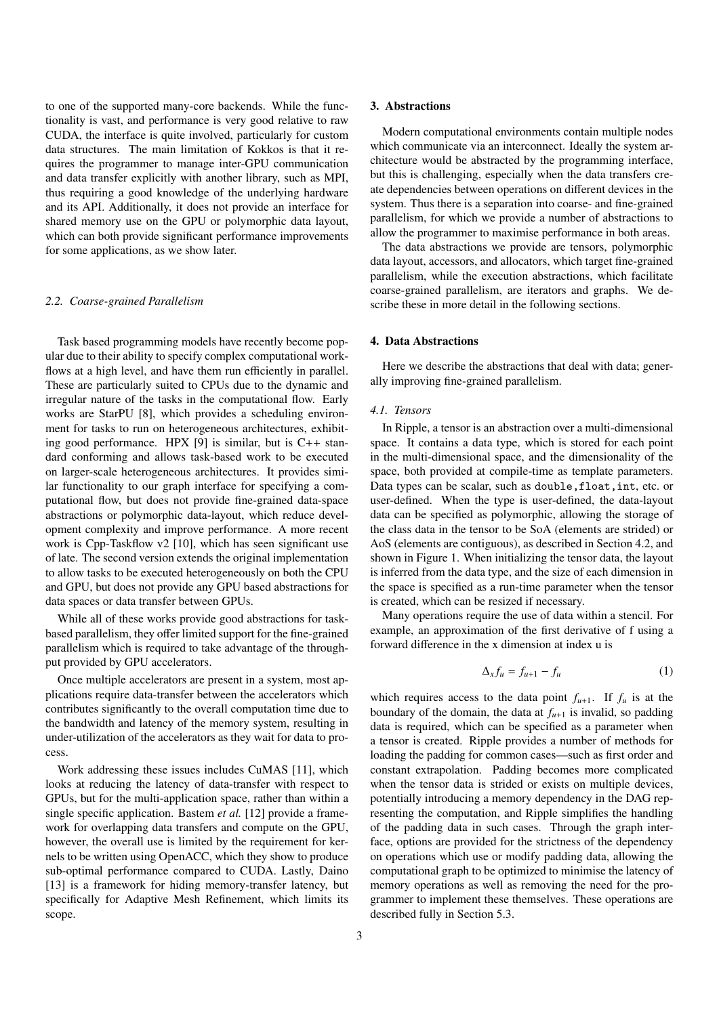to one of the supported many-core backends. While the functionality is vast, and performance is very good relative to raw CUDA, the interface is quite involved, particularly for custom data structures. The main limitation of Kokkos is that it requires the programmer to manage inter-GPU communication and data transfer explicitly with another library, such as MPI, thus requiring a good knowledge of the underlying hardware and its API. Additionally, it does not provide an interface for shared memory use on the GPU or polymorphic data layout, which can both provide significant performance improvements for some applications, as we show later.

### *2.2. Coarse-grained Parallelism*

Task based programming models have recently become popular due to their ability to specify complex computational workflows at a high level, and have them run efficiently in parallel. These are particularly suited to CPUs due to the dynamic and irregular nature of the tasks in the computational flow. Early works are StarPU [\[8\]](#page-17-7), which provides a scheduling environment for tasks to run on heterogeneous architectures, exhibit-ing good performance. HPX [\[9\]](#page-17-8) is similar, but is  $C++$  standard conforming and allows task-based work to be executed on larger-scale heterogeneous architectures. It provides similar functionality to our graph interface for specifying a computational flow, but does not provide fine-grained data-space abstractions or polymorphic data-layout, which reduce development complexity and improve performance. A more recent work is Cpp-Taskflow v2 [\[10\]](#page-17-9), which has seen significant use of late. The second version extends the original implementation to allow tasks to be executed heterogeneously on both the CPU and GPU, but does not provide any GPU based abstractions for data spaces or data transfer between GPUs.

While all of these works provide good abstractions for taskbased parallelism, they offer limited support for the fine-grained parallelism which is required to take advantage of the throughput provided by GPU accelerators.

Once multiple accelerators are present in a system, most applications require data-transfer between the accelerators which contributes significantly to the overall computation time due to the bandwidth and latency of the memory system, resulting in under-utilization of the accelerators as they wait for data to process.

Work addressing these issues includes CuMAS [\[11\]](#page-17-10), which looks at reducing the latency of data-transfer with respect to GPUs, but for the multi-application space, rather than within a single specific application. Bastem *et al.* [\[12\]](#page-17-11) provide a framework for overlapping data transfers and compute on the GPU, however, the overall use is limited by the requirement for kernels to be written using OpenACC, which they show to produce sub-optimal performance compared to CUDA. Lastly, Daino [\[13\]](#page-17-12) is a framework for hiding memory-transfer latency, but specifically for Adaptive Mesh Refinement, which limits its scope.

#### <span id="page-2-0"></span>3. Abstractions

Modern computational environments contain multiple nodes which communicate via an interconnect. Ideally the system architecture would be abstracted by the programming interface, but this is challenging, especially when the data transfers create dependencies between operations on different devices in the system. Thus there is a separation into coarse- and fine-grained parallelism, for which we provide a number of abstractions to allow the programmer to maximise performance in both areas.

The data abstractions we provide are tensors, polymorphic data layout, accessors, and allocators, which target fine-grained parallelism, while the execution abstractions, which facilitate coarse-grained parallelism, are iterators and graphs. We describe these in more detail in the following sections.

### <span id="page-2-1"></span>4. Data Abstractions

Here we describe the abstractions that deal with data; generally improving fine-grained parallelism.

### *4.1. Tensors*

In Ripple, a tensor is an abstraction over a multi-dimensional space. It contains a data type, which is stored for each point in the multi-dimensional space, and the dimensionality of the space, both provided at compile-time as template parameters. Data types can be scalar, such as double,float,int, etc. or user-defined. When the type is user-defined, the data-layout data can be specified as polymorphic, allowing the storage of the class data in the tensor to be SoA (elements are strided) or AoS (elements are contiguous), as described in Section [4.2,](#page-3-0) and shown in Figure [1.](#page-3-1) When initializing the tensor data, the layout is inferred from the data type, and the size of each dimension in the space is specified as a run-time parameter when the tensor is created, which can be resized if necessary.

Many operations require the use of data within a stencil. For example, an approximation of the first derivative of f using a forward difference in the x dimension at index u is

$$
\Delta_x f_u = f_{u+1} - f_u \tag{1}
$$

which requires access to the data point  $f_{u+1}$ . If  $f_u$  is at the boundary of the domain, the data at  $f_{u+1}$  is invalid, so padding data is required, which can be specified as a parameter when a tensor is created. Ripple provides a number of methods for loading the padding for common cases—such as first order and constant extrapolation. Padding becomes more complicated when the tensor data is strided or exists on multiple devices, potentially introducing a memory dependency in the DAG representing the computation, and Ripple simplifies the handling of the padding data in such cases. Through the graph interface, options are provided for the strictness of the dependency on operations which use or modify padding data, allowing the computational graph to be optimized to minimise the latency of memory operations as well as removing the need for the programmer to implement these themselves. These operations are described fully in Section [5.3.](#page-5-0)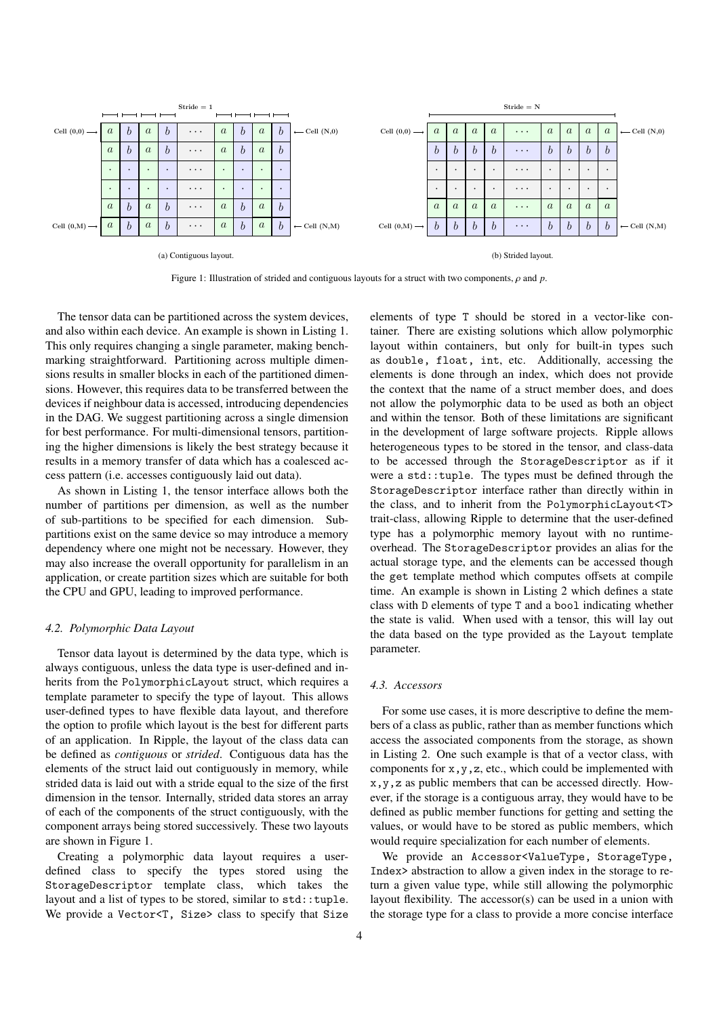<span id="page-3-1"></span>

Figure 1: Illustration of strided and contiguous layouts for a struct with two components, ρ and *<sup>p</sup>*.

The tensor data can be partitioned across the system devices, and also within each device. An example is shown in Listing [1.](#page-4-1) This only requires changing a single parameter, making benchmarking straightforward. Partitioning across multiple dimensions results in smaller blocks in each of the partitioned dimensions. However, this requires data to be transferred between the devices if neighbour data is accessed, introducing dependencies in the DAG. We suggest partitioning across a single dimension for best performance. For multi-dimensional tensors, partitioning the higher dimensions is likely the best strategy because it results in a memory transfer of data which has a coalesced access pattern (i.e. accesses contiguously laid out data).

As shown in Listing [1,](#page-4-1) the tensor interface allows both the number of partitions per dimension, as well as the number of sub-partitions to be specified for each dimension. Subpartitions exist on the same device so may introduce a memory dependency where one might not be necessary. However, they may also increase the overall opportunity for parallelism in an application, or create partition sizes which are suitable for both the CPU and GPU, leading to improved performance.

### <span id="page-3-0"></span>*4.2. Polymorphic Data Layout*

Tensor data layout is determined by the data type, which is always contiguous, unless the data type is user-defined and inherits from the PolymorphicLayout struct, which requires a template parameter to specify the type of layout. This allows user-defined types to have flexible data layout, and therefore the option to profile which layout is the best for different parts of an application. In Ripple, the layout of the class data can be defined as *contiguous* or *strided*. Contiguous data has the elements of the struct laid out contiguously in memory, while strided data is laid out with a stride equal to the size of the first dimension in the tensor. Internally, strided data stores an array of each of the components of the struct contiguously, with the component arrays being stored successively. These two layouts are shown in Figure [1.](#page-3-1)

Creating a polymorphic data layout requires a userdefined class to specify the types stored using the StorageDescriptor template class, which takes the layout and a list of types to be stored, similar to  $std::tuple.$ We provide a Vector<T, Size> class to specify that Size

elements of type T should be stored in a vector-like container. There are existing solutions which allow polymorphic layout within containers, but only for built-in types such as double, float, int, etc. Additionally, accessing the elements is done through an index, which does not provide the context that the name of a struct member does, and does not allow the polymorphic data to be used as both an object and within the tensor. Both of these limitations are significant in the development of large software projects. Ripple allows heterogeneous types to be stored in the tensor, and class-data to be accessed through the StorageDescriptor as if it were a std::tuple. The types must be defined through the StorageDescriptor interface rather than directly within in the class, and to inherit from the PolymorphicLayout<T> trait-class, allowing Ripple to determine that the user-defined type has a polymorphic memory layout with no runtimeoverhead. The StorageDescriptor provides an alias for the actual storage type, and the elements can be accessed though the get template method which computes offsets at compile time. An example is shown in Listing [2](#page-4-2) which defines a state class with D elements of type T and a bool indicating whether the state is valid. When used with a tensor, this will lay out the data based on the type provided as the Layout template parameter.

### *4.3. Accessors*

For some use cases, it is more descriptive to define the members of a class as public, rather than as member functions which access the associated components from the storage, as shown in Listing [2.](#page-4-2) One such example is that of a vector class, with components for x,y,z, etc., which could be implemented with x,y,z as public members that can be accessed directly. However, if the storage is a contiguous array, they would have to be defined as public member functions for getting and setting the values, or would have to be stored as public members, which would require specialization for each number of elements.

We provide an Accessor<ValueType, StorageType, Index> abstraction to allow a given index in the storage to return a given value type, while still allowing the polymorphic layout flexibility. The accessor(s) can be used in a union with the storage type for a class to provide a more concise interface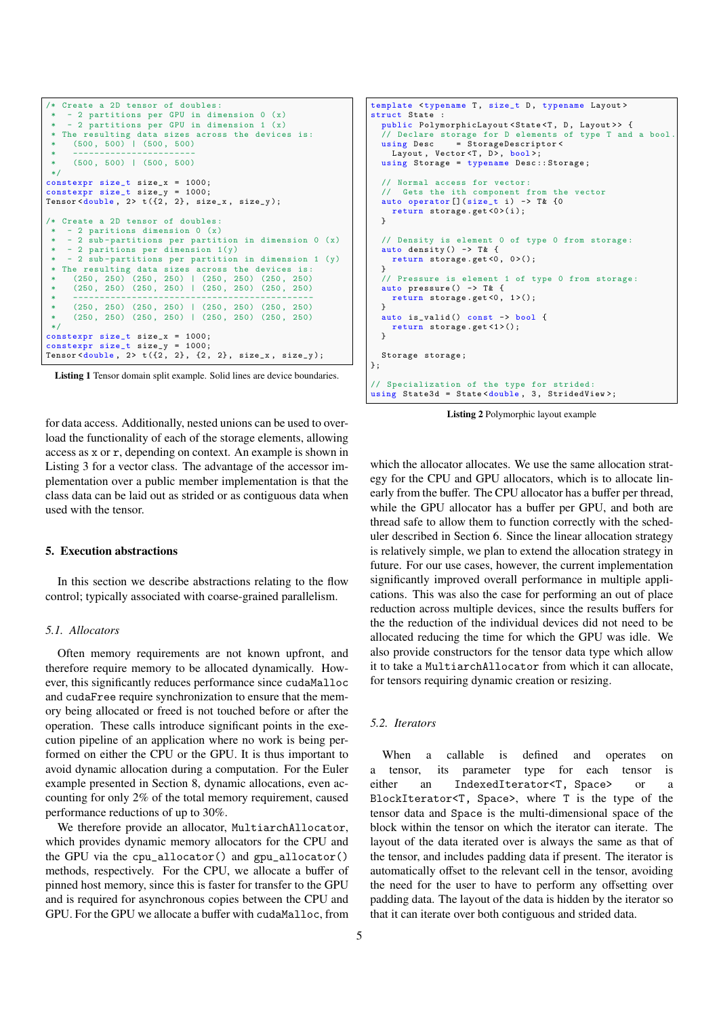```
Create a 2D tensor of doubles:
       2 partitions per GPU in dimension 0 (x)- 2 partitions per GPU in dimension 1 (x)
 * The resulting data sizes across the devices is:
      (500, 500) | (500, 500)* -----------------------
* (500 , 500) | (500 , 500)
 */
constexpr size_t size_x = 1000;
constexpr size_t size_y = 1000;
Tensor <double, 2> t (\{2, 2\}, size_x, size_y);
  Create a 2D tensor of doubles:
     - 2 paritions dimension 0(x)- 2 sub-partitions per partition in dimension 0 (x)
    - 2 paritions per dimension 1(y)- 2 sub-partitions per partition in dimension 1 (y)
   The resulting data sizes across the devices is:
 * (250 , 250) (250 , 250) | (250 , 250) (250 , 250)
* (250 , 250) (250 , 250) | (250 , 250) (250 , 250)
 * ---------------------------------------------
      (250, 250) (250, 250) | (250, 250) (250, 250)<br>(250, 250) (250, 250) (250, 250)(250, 250) (250, 250) | (250, 250)*/
constexpr size_t size_x = 1000;<br>constexpr size t size y = 1000;
\overline{\text{constexpr}} size_t size_y =
Tensor <double, 2> t (\{2, 2\}, \{2, 2\}, size_x, size_y);
```
Listing 1 Tensor domain split example. Solid lines are device boundaries. for data access. Additionally, nested unions can be used to overload the functionality of each of the storage elements, allowing access as x or r, depending on context. An example is shown in Listing [3](#page-5-1) for a vector class. The advantage of the accessor implementation over a public member implementation is that the class data can be laid out as strided or as contiguous data when used with the tensor.

#### <span id="page-4-0"></span>5. Execution abstractions

In this section we describe abstractions relating to the flow control; typically associated with coarse-grained parallelism.

### *5.1. Allocators*

Often memory requirements are not known upfront, and therefore require memory to be allocated dynamically. However, this significantly reduces performance since cudaMalloc and cudaFree require synchronization to ensure that the memory being allocated or freed is not touched before or after the operation. These calls introduce significant points in the execution pipeline of an application where no work is being performed on either the CPU or the GPU. It is thus important to avoid dynamic allocation during a computation. For the Euler example presented in Section [8,](#page-14-0) dynamic allocations, even accounting for only 2% of the total memory requirement, caused performance reductions of up to 30%.

We therefore provide an allocator, MultiarchAllocator, which provides dynamic memory allocators for the CPU and the GPU via the cpu\_allocator() and gpu\_allocator() methods, respectively. For the CPU, we allocate a buffer of pinned host memory, since this is faster for transfer to the GPU and is required for asynchronous copies between the CPU and GPU. For the GPU we allocate a buffer with cudaMalloc, from

```
template <typename T, size_t D, typename Layout>
struct State
  public PolymorphicLayout <State<T, D, Layout>> {
  // Declare storage for D elements of type T and a bool using Desc = StorageDescriptor <
                 = StorageDescriptor<
    Layout, Vector<T, D>, bool>;
  using Storage = typename Desc:: Storage;
  // Normal access for vector:<br>// Gets the ith component i
      Gets the ith component from the vector
  auto operator []( size_t i) -> T& {0
    return storage.get <0>(i);
  }
  // Density is element 0 of type 0 from storage :
  auto density () \rightarrow T& {
    return storage.get<0, 0>();
  }
  // Pressure is element 1 of type 0 from storage :
  auto pressure () -> T& {
    return storage.get<0, 1>();
  }
  auto is valid () const -> bool {
    return storage.get<1>();
  }
  Storage storage ;
};
// Specialization of the type for strided :
using State3d = State<double, 3, StridedView>;
```
Listing 2 Polymorphic layout example

which the allocator allocates. We use the same allocation strategy for the CPU and GPU allocators, which is to allocate linearly from the buffer. The CPU allocator has a buffer per thread, while the GPU allocator has a buffer per GPU, and both are thread safe to allow them to function correctly with the scheduler described in Section [6.](#page-10-0) Since the linear allocation strategy is relatively simple, we plan to extend the allocation strategy in future. For our use cases, however, the current implementation significantly improved overall performance in multiple applications. This was also the case for performing an out of place reduction across multiple devices, since the results buffers for the the reduction of the individual devices did not need to be allocated reducing the time for which the GPU was idle. We also provide constructors for the tensor data type which allow it to take a MultiarchAllocator from which it can allocate, for tensors requiring dynamic creation or resizing.

# *5.2. Iterators*

When a callable is defined and operates on a tensor, its parameter type for each tensor is either an IndexedIterator<T, Space> or a BlockIterator<T, Space>, where T is the type of the tensor data and Space is the multi-dimensional space of the block within the tensor on which the iterator can iterate. The layout of the data iterated over is always the same as that of the tensor, and includes padding data if present. The iterator is automatically offset to the relevant cell in the tensor, avoiding the need for the user to have to perform any offsetting over padding data. The layout of the data is hidden by the iterator so that it can iterate over both contiguous and strided data.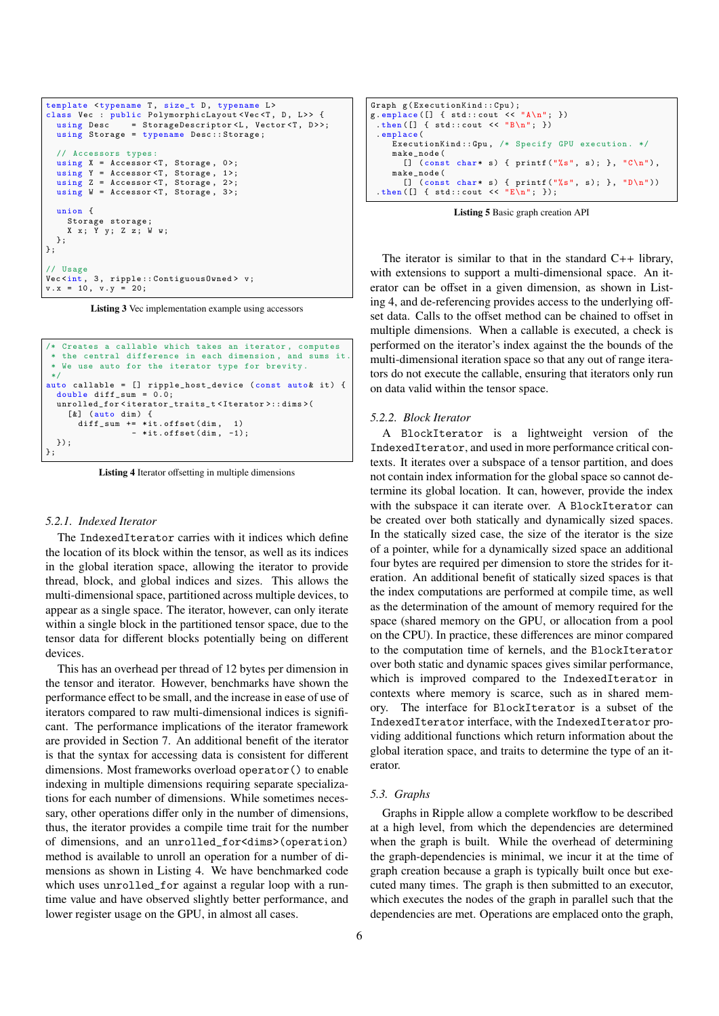```
template <typename T, size_t D, typename L>
class Vec : public PolymorphicLayout <Vec <T, D, L>> {
  using Desc = StorageDescriptor<L, Vector<T, D>>;
  using Storage = typename Desc:: Storage;
  // Accessors types :
  using X = \text{Accessor} < T, Storage, 0>;
  using Y = Accessor < T, Storage, 1>;
  using Z = Accessor <T, Storage, 2>;
  using W = Accessor <T, Storage, 3>;
  union {
    Storage storage ;
    X x; Y y; Z z; W w;
  };
};
// Usage
Vec <int, 3, ripple :: Contiguous Owned > v;
v \cdot x = 10, v \cdot y = 20;
```
Listing 3 Vec implementation example using accessors

```
Creates a callable which takes an iterator, computes
   the central difference in each dimension, and sums it
  We use auto for the iterator type for brevity.
 */
auto callable = [] ripple_host_device (const auto& it) {
  double diff sum = 0.0;
  unrolled_for < iterator_traits_t < Iterator >:: dims >(
    [k] (auto dim) {
      diff\_sum += * it. of fset (dim, 1)- *it.offset(\dim, -1);});
};
```
Listing 4 Iterator offsetting in multiple dimensions

### *5.2.1. Indexed Iterator*

The IndexedIterator carries with it indices which define the location of its block within the tensor, as well as its indices in the global iteration space, allowing the iterator to provide thread, block, and global indices and sizes. This allows the multi-dimensional space, partitioned across multiple devices, to appear as a single space. The iterator, however, can only iterate within a single block in the partitioned tensor space, due to the tensor data for different blocks potentially being on different devices.

This has an overhead per thread of 12 bytes per dimension in the tensor and iterator. However, benchmarks have shown the performance effect to be small, and the increase in ease of use of iterators compared to raw multi-dimensional indices is significant. The performance implications of the iterator framework are provided in Section [7.](#page-12-0) An additional benefit of the iterator is that the syntax for accessing data is consistent for different dimensions. Most frameworks overload operator() to enable indexing in multiple dimensions requiring separate specializations for each number of dimensions. While sometimes necessary, other operations differ only in the number of dimensions, thus, the iterator provides a compile time trait for the number of dimensions, and an unrolled\_for<dims>(operation) method is available to unroll an operation for a number of dimensions as shown in Listing [4.](#page-5-2) We have benchmarked code which uses unrolled\_for against a regular loop with a runtime value and have observed slightly better performance, and lower register usage on the GPU, in almost all cases.

```
Graph g(ExecutionKind:: Cpu);<br>g.emplace ([] { std:: cout << "A\n"; })
 . then ([] { std:: cout \langle\langle "B\n"; })
 . emplace (
     ExecutionKind :: Gpu , /* Specify GPU execution . */
     make_node (
        \left[\right] (const char* s) { printf ("%s", s); }, "C\n"),
     make_node (<br>[] (const
                     char* s) { printf ("%s", s); }, "D \n\langle n"))
 . then ([] { std:: cout \langle\langle "E\n"; });
```


The iterator is similar to that in the standard  $C_{++}$  library, with extensions to support a multi-dimensional space. An iterator can be offset in a given dimension, as shown in Listing [4,](#page-5-2) and de-referencing provides access to the underlying offset data. Calls to the offset method can be chained to offset in multiple dimensions. When a callable is executed, a check is performed on the iterator's index against the the bounds of the multi-dimensional iteration space so that any out of range iterators do not execute the callable, ensuring that iterators only run on data valid within the tensor space.

### *5.2.2. Block Iterator*

A BlockIterator is a lightweight version of the IndexedIterator, and used in more performance critical contexts. It iterates over a subspace of a tensor partition, and does not contain index information for the global space so cannot determine its global location. It can, however, provide the index with the subspace it can iterate over. A BlockIterator can be created over both statically and dynamically sized spaces. In the statically sized case, the size of the iterator is the size of a pointer, while for a dynamically sized space an additional four bytes are required per dimension to store the strides for iteration. An additional benefit of statically sized spaces is that the index computations are performed at compile time, as well as the determination of the amount of memory required for the space (shared memory on the GPU, or allocation from a pool on the CPU). In practice, these differences are minor compared to the computation time of kernels, and the BlockIterator over both static and dynamic spaces gives similar performance, which is improved compared to the IndexedIterator in contexts where memory is scarce, such as in shared memory. The interface for BlockIterator is a subset of the IndexedIterator interface, with the IndexedIterator providing additional functions which return information about the global iteration space, and traits to determine the type of an iterator.

### <span id="page-5-0"></span>*5.3. Graphs*

Graphs in Ripple allow a complete workflow to be described at a high level, from which the dependencies are determined when the graph is built. While the overhead of determining the graph-dependencies is minimal, we incur it at the time of graph creation because a graph is typically built once but executed many times. The graph is then submitted to an executor, which executes the nodes of the graph in parallel such that the dependencies are met. Operations are emplaced onto the graph,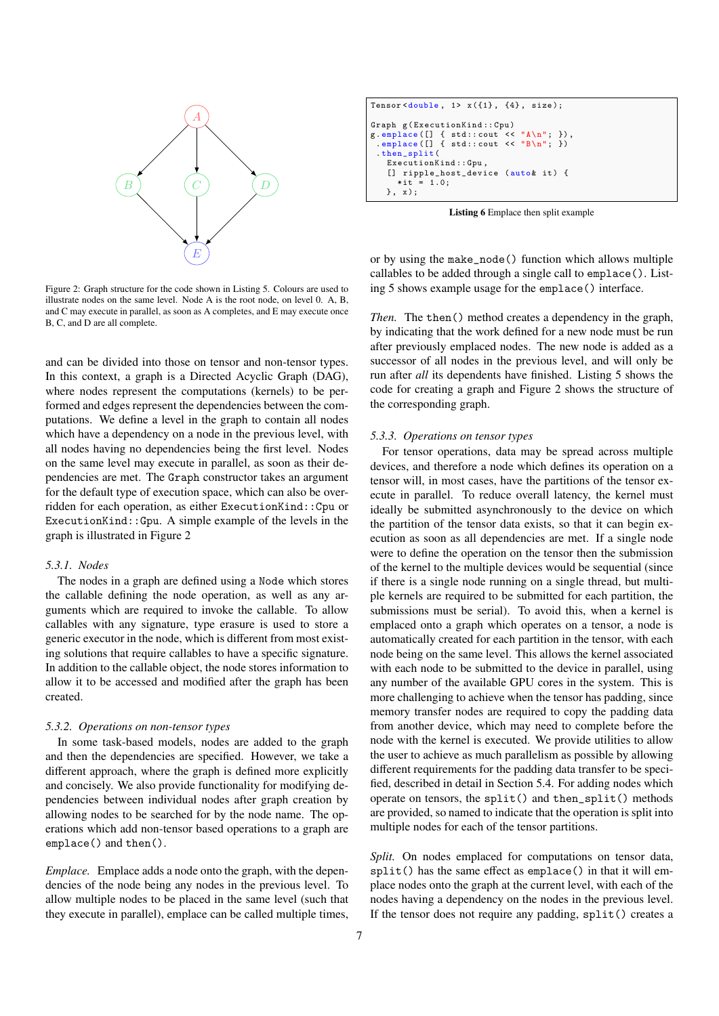<span id="page-6-0"></span>

Figure 2: Graph structure for the code shown in Listing [5.](#page-5-3) Colours are used to illustrate nodes on the same level. Node A is the root node, on level 0. A, B, and C may execute in parallel, as soon as A completes, and E may execute once B, C, and D are all complete.

and can be divided into those on tensor and non-tensor types. In this context, a graph is a Directed Acyclic Graph (DAG), where nodes represent the computations (kernels) to be performed and edges represent the dependencies between the computations. We define a level in the graph to contain all nodes which have a dependency on a node in the previous level, with all nodes having no dependencies being the first level. Nodes on the same level may execute in parallel, as soon as their dependencies are met. The Graph constructor takes an argument for the default type of execution space, which can also be overridden for each operation, as either ExecutionKind::Cpu or ExecutionKind::Gpu. A simple example of the levels in the graph is illustrated in Figure [2](#page-6-0)

### *5.3.1. Nodes*

The nodes in a graph are defined using a Node which stores the callable defining the node operation, as well as any arguments which are required to invoke the callable. To allow callables with any signature, type erasure is used to store a generic executor in the node, which is different from most existing solutions that require callables to have a specific signature. In addition to the callable object, the node stores information to allow it to be accessed and modified after the graph has been created.

#### *5.3.2. Operations on non-tensor types*

In some task-based models, nodes are added to the graph and then the dependencies are specified. However, we take a different approach, where the graph is defined more explicitly and concisely. We also provide functionality for modifying dependencies between individual nodes after graph creation by allowing nodes to be searched for by the node name. The operations which add non-tensor based operations to a graph are emplace() and then().

*Emplace.* Emplace adds a node onto the graph, with the dependencies of the node being any nodes in the previous level. To allow multiple nodes to be placed in the same level (such that they execute in parallel), emplace can be called multiple times,

<span id="page-6-1"></span>Tensor < double , 1> x ({1} , {4} , size ); Graph g( ExecutionKind :: Cpu ) g. emplace ([] { std :: cout << "A\n"; }) , . emplace ([] { std :: cout << "B\n"; }) . then\_split ( ExecutionKind :: Gpu , [] ripple\_host\_device ( auto & it ) { \* it = 1.0; }, x );

Listing 6 Emplace then split example

or by using the make\_node() function which allows multiple callables to be added through a single call to emplace(). Listing [5](#page-5-3) shows example usage for the emplace() interface.

*Then.* The then() method creates a dependency in the graph, by indicating that the work defined for a new node must be run after previously emplaced nodes. The new node is added as a successor of all nodes in the previous level, and will only be run after *all* its dependents have finished. Listing [5](#page-5-3) shows the code for creating a graph and Figure [2](#page-6-0) shows the structure of the corresponding graph.

#### *5.3.3. Operations on tensor types*

For tensor operations, data may be spread across multiple devices, and therefore a node which defines its operation on a tensor will, in most cases, have the partitions of the tensor execute in parallel. To reduce overall latency, the kernel must ideally be submitted asynchronously to the device on which the partition of the tensor data exists, so that it can begin execution as soon as all dependencies are met. If a single node were to define the operation on the tensor then the submission of the kernel to the multiple devices would be sequential (since if there is a single node running on a single thread, but multiple kernels are required to be submitted for each partition, the submissions must be serial). To avoid this, when a kernel is emplaced onto a graph which operates on a tensor, a node is automatically created for each partition in the tensor, with each node being on the same level. This allows the kernel associated with each node to be submitted to the device in parallel, using any number of the available GPU cores in the system. This is more challenging to achieve when the tensor has padding, since memory transfer nodes are required to copy the padding data from another device, which may need to complete before the node with the kernel is executed. We provide utilities to allow the user to achieve as much parallelism as possible by allowing different requirements for the padding data transfer to be specified, described in detail in Section [5.4.](#page-8-0) For adding nodes which operate on tensors, the split() and then\_split() methods are provided, so named to indicate that the operation is split into multiple nodes for each of the tensor partitions.

*Split.* On nodes emplaced for computations on tensor data, split() has the same effect as emplace() in that it will emplace nodes onto the graph at the current level, with each of the nodes having a dependency on the nodes in the previous level. If the tensor does not require any padding, split() creates a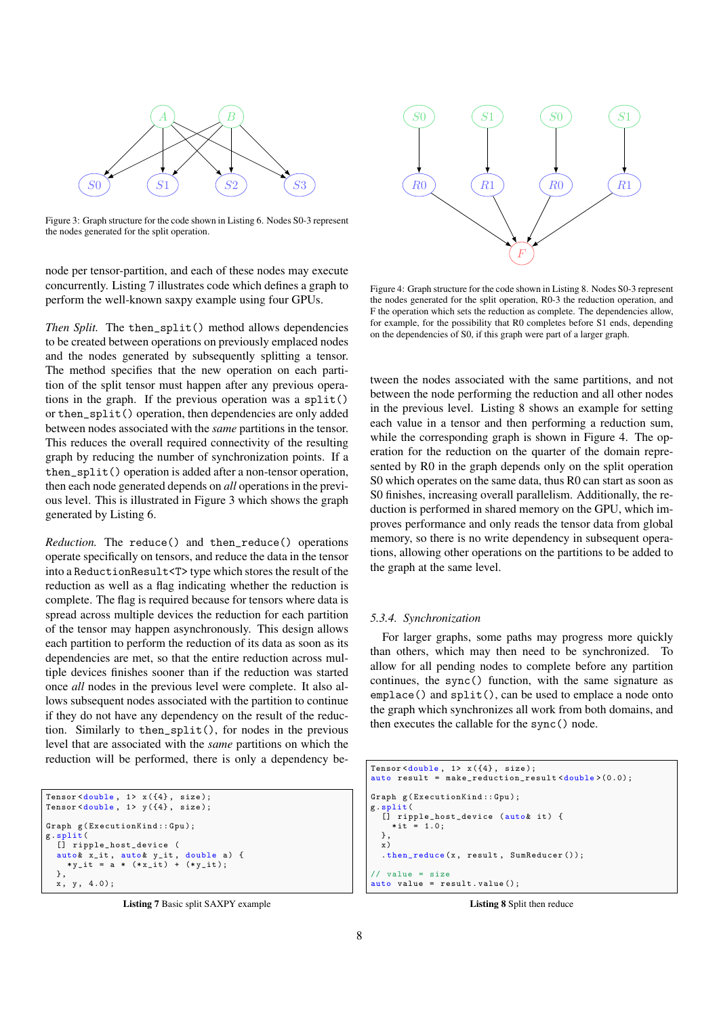<span id="page-7-1"></span>

Figure 3: Graph structure for the code shown in Listing [6.](#page-6-1) Nodes S0-3 represent the nodes generated for the split operation.

node per tensor-partition, and each of these nodes may execute concurrently. Listing [7](#page-7-0) illustrates code which defines a graph to perform the well-known saxpy example using four GPUs.

*Then Split.* The then\_split() method allows dependencies to be created between operations on previously emplaced nodes and the nodes generated by subsequently splitting a tensor. The method specifies that the new operation on each partition of the split tensor must happen after any previous operations in the graph. If the previous operation was a split() or then\_split() operation, then dependencies are only added between nodes associated with the *same* partitions in the tensor. This reduces the overall required connectivity of the resulting graph by reducing the number of synchronization points. If a then\_split() operation is added after a non-tensor operation, then each node generated depends on *all* operations in the previous level. This is illustrated in Figure [3](#page-7-1) which shows the graph generated by Listing [6.](#page-6-1)

<span id="page-7-4"></span>*Reduction.* The reduce() and then\_reduce() operations operate specifically on tensors, and reduce the data in the tensor into a ReductionResult<T> type which stores the result of the reduction as well as a flag indicating whether the reduction is complete. The flag is required because for tensors where data is spread across multiple devices the reduction for each partition of the tensor may happen asynchronously. This design allows each partition to perform the reduction of its data as soon as its dependencies are met, so that the entire reduction across multiple devices finishes sooner than if the reduction was started once *all* nodes in the previous level were complete. It also allows subsequent nodes associated with the partition to continue if they do not have any dependency on the result of the reduction. Similarly to then\_split(), for nodes in the previous level that are associated with the *same* partitions on which the reduction will be performed, there is only a dependency be-

```
Tensor < double, 1> x({4}, size);
Tensor<double, 1> y({4}, size);
Graph g( ExecutionKind :: Gpu );
g. split (
[] ripple_host_device (
   auto & x_it, auto & y_it, double a) {<br>
*y_it = a * (*x_it) + (*y_it);
  },
  x, y, 4.0;
```
Listing 7 Basic split SAXPY example

<span id="page-7-3"></span>

Figure 4: Graph structure for the code shown in Listing [8.](#page-7-2) Nodes S0-3 represent the nodes generated for the split operation, R0-3 the reduction operation, and F the operation which sets the reduction as complete. The dependencies allow, for example, for the possibility that R0 completes before S1 ends, depending on the dependencies of S0, if this graph were part of a larger graph.

tween the nodes associated with the same partitions, and not between the node performing the reduction and all other nodes in the previous level. Listing [8](#page-7-2) shows an example for setting each value in a tensor and then performing a reduction sum, while the corresponding graph is shown in Figure [4.](#page-7-3) The operation for the reduction on the quarter of the domain represented by R0 in the graph depends only on the split operation S0 which operates on the same data, thus R0 can start as soon as S0 finishes, increasing overall parallelism. Additionally, the reduction is performed in shared memory on the GPU, which improves performance and only reads the tensor data from global memory, so there is no write dependency in subsequent operations, allowing other operations on the partitions to be added to the graph at the same level.

#### *5.3.4. Synchronization*

For larger graphs, some paths may progress more quickly than others, which may then need to be synchronized. To allow for all pending nodes to complete before any partition continues, the sync() function, with the same signature as emplace() and split(), can be used to emplace a node onto the graph which synchronizes all work from both domains, and then executes the callable for the sync() node.

```
Tensor < double, 1> x({4}, size);
auto result = make_reduction_result < double >(0.0);
Graph g(ExecutionKind::Gpu);
g. split (
[] ripple_host_device ( auto & it ) {
    * it = 1.0;
  },
  \overline{x})
  . then_reduce (x, result, SumReducer ());
// value = size
auto value = result . value ();
```
Listing 8 Split then reduce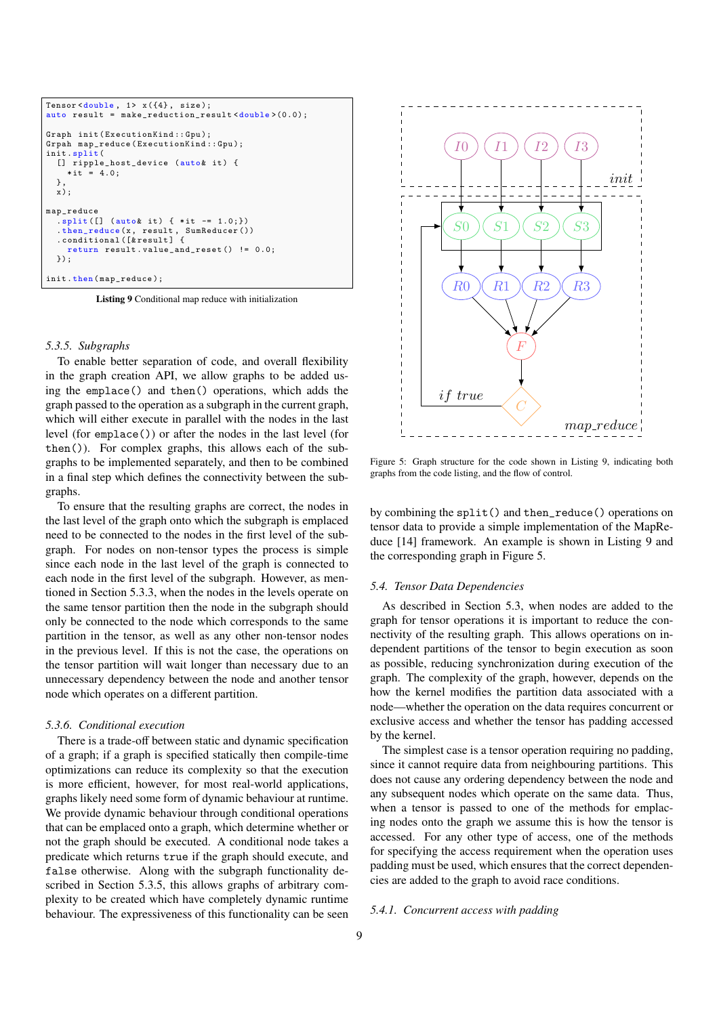```
Tensor <double , 1> x ({4} , size );
auto result = make_reduction_result <double >(0.0);
Graph init (ExecutionKind:: Gpu);
Grpah map_reduce ( ExecutionKind :: Gpu );
init . split (
  [] ripple_host_device (auto& it) {
     * it = 4.0;
  },
  \overline{x});
map_reduce
  . split ([] (autok it) { *it -= 1.0; })
   . then_reduce (x , result , SumReducer ())
. conditional ([& result ] {
     return result . value_and_reset () != 0.0;
  });
init.then (map_reduce);
```
Listing 9 Conditional map reduce with initialization

#### <span id="page-8-1"></span>*5.3.5. Subgraphs*

To enable better separation of code, and overall flexibility in the graph creation API, we allow graphs to be added using the emplace() and then() operations, which adds the graph passed to the operation as a subgraph in the current graph, which will either execute in parallel with the nodes in the last level (for emplace()) or after the nodes in the last level (for then()). For complex graphs, this allows each of the subgraphs to be implemented separately, and then to be combined in a final step which defines the connectivity between the subgraphs.

To ensure that the resulting graphs are correct, the nodes in the last level of the graph onto which the subgraph is emplaced need to be connected to the nodes in the first level of the subgraph. For nodes on non-tensor types the process is simple since each node in the last level of the graph is connected to each node in the first level of the subgraph. However, as mentioned in Section [5.3.3,](#page-7-4) when the nodes in the levels operate on the same tensor partition then the node in the subgraph should only be connected to the node which corresponds to the same partition in the tensor, as well as any other non-tensor nodes in the previous level. If this is not the case, the operations on the tensor partition will wait longer than necessary due to an unnecessary dependency between the node and another tensor node which operates on a different partition.

### <span id="page-8-4"></span>*5.3.6. Conditional execution*

There is a trade-off between static and dynamic specification of a graph; if a graph is specified statically then compile-time optimizations can reduce its complexity so that the execution is more efficient, however, for most real-world applications, graphs likely need some form of dynamic behaviour at runtime. We provide dynamic behaviour through conditional operations that can be emplaced onto a graph, which determine whether or not the graph should be executed. A conditional node takes a predicate which returns true if the graph should execute, and false otherwise. Along with the subgraph functionality described in Section [5.3.5,](#page-8-1) this allows graphs of arbitrary complexity to be created which have completely dynamic runtime behaviour. The expressiveness of this functionality can be seen

<span id="page-8-3"></span>

Figure 5: Graph structure for the code shown in Listing [9,](#page-8-2) indicating both graphs from the code listing, and the flow of control.

by combining the split() and then\_reduce() operations on tensor data to provide a simple implementation of the MapReduce [\[14\]](#page-17-13) framework. An example is shown in Listing [9](#page-8-2) and the corresponding graph in Figure [5.](#page-8-3)

### <span id="page-8-0"></span>*5.4. Tensor Data Dependencies*

As described in Section [5.3,](#page-5-0) when nodes are added to the graph for tensor operations it is important to reduce the connectivity of the resulting graph. This allows operations on independent partitions of the tensor to begin execution as soon as possible, reducing synchronization during execution of the graph. The complexity of the graph, however, depends on the how the kernel modifies the partition data associated with a node—whether the operation on the data requires concurrent or exclusive access and whether the tensor has padding accessed by the kernel.

The simplest case is a tensor operation requiring no padding, since it cannot require data from neighbouring partitions. This does not cause any ordering dependency between the node and any subsequent nodes which operate on the same data. Thus, when a tensor is passed to one of the methods for emplacing nodes onto the graph we assume this is how the tensor is accessed. For any other type of access, one of the methods for specifying the access requirement when the operation uses padding must be used, which ensures that the correct dependencies are added to the graph to avoid race conditions.

#### *5.4.1. Concurrent access with padding*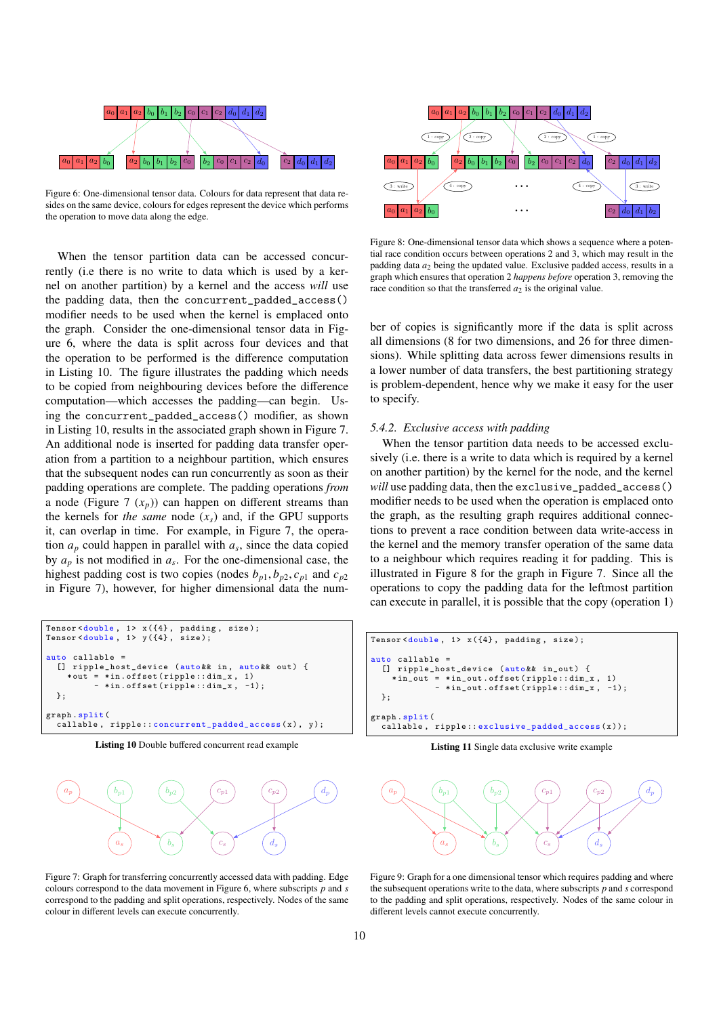<span id="page-9-0"></span>

Figure 6: One-dimensional tensor data. Colours for data represent that data resides on the same device, colours for edges represent the device which performs the operation to move data along the edge.

When the tensor partition data can be accessed concurrently (i.e there is no write to data which is used by a kernel on another partition) by a kernel and the access *will* use the padding data, then the concurrent\_padded\_access() modifier needs to be used when the kernel is emplaced onto the graph. Consider the one-dimensional tensor data in Figure [6,](#page-9-0) where the data is split across four devices and that the operation to be performed is the difference computation in Listing [10.](#page-9-1) The figure illustrates the padding which needs to be copied from neighbouring devices before the difference computation—which accesses the padding—can begin. Using the concurrent\_padded\_access() modifier, as shown in Listing [10,](#page-9-1) results in the associated graph shown in Figure [7.](#page-9-2) An additional node is inserted for padding data transfer operation from a partition to a neighbour partition, which ensures that the subsequent nodes can run concurrently as soon as their padding operations are complete. The padding operations *from* a node (Figure [7](#page-9-2)  $(x_p)$ ) can happen on different streams than the kernels for *the same* node  $(x_s)$  and, if the GPU supports it, can overlap in time. For example, in Figure [7,](#page-9-2) the operation  $a_p$  could happen in parallel with  $a_s$ , since the data copied by  $a_p$  is not modified in  $a_s$ . For the one-dimensional case, the highest padding cost is two copies (nodes  $b_{p1}$ ,  $b_{p2}$ ,  $c_{p1}$  and  $c_{p2}$ ) in Figure [7\)](#page-9-2), however, for higher dimensional data the num-

```
Tensor<double, 1> x({4}, padding, size);
Tensor < double, 1> y({4}, size);
auto callable =
  [] ripple_host_device (auto && in, auto && out) {
     * out = * in . offset ( ripple :: dim_x , 1)
- * in . offset ( ripple :: dim_x , -1);
  };
graph . split (
  callable , ripple :: concurrent_padded_access (x), y );
```
Listing 10 Double buffered concurrent read example

<span id="page-9-2"></span>

Figure 7: Graph for transferring concurrently accessed data with padding. Edge colours correspond to the data movement in Figure [6,](#page-9-0) where subscripts *p* and *s* correspond to the padding and split operations, respectively. Nodes of the same colour in different levels can execute concurrently.

<span id="page-9-3"></span>

Figure 8: One-dimensional tensor data which shows a sequence where a potential race condition occurs between operations 2 and 3, which may result in the padding data  $a_2$  being the updated value. Exclusive padded access, results in a graph which ensures that operation 2 *happens before* operation 3, removing the race condition so that the transferred  $a_2$  is the original value.

ber of copies is significantly more if the data is split across all dimensions (8 for two dimensions, and 26 for three dimensions). While splitting data across fewer dimensions results in a lower number of data transfers, the best partitioning strategy is problem-dependent, hence why we make it easy for the user to specify.

### *5.4.2. Exclusive access with padding*

When the tensor partition data needs to be accessed exclusively (i.e. there is a write to data which is required by a kernel on another partition) by the kernel for the node, and the kernel *will* use padding data, then the exclusive\_padded\_access() modifier needs to be used when the operation is emplaced onto the graph, as the resulting graph requires additional connections to prevent a race condition between data write-access in the kernel and the memory transfer operation of the same data to a neighbour which requires reading it for padding. This is illustrated in Figure [8](#page-9-3) for the graph in Figure [7.](#page-9-2) Since all the operations to copy the padding data for the leftmost partition can execute in parallel, it is possible that the copy (operation 1)

```
Tensor < double, 1> x ({4}, padding, size);
auto callable =
  [] ripple_host_device (auto&& in_out) {
    *in\_out = *in\_out.offset(ripple::dim_x, 1)- *in_out.offset(ripple::dim_x, -1);
  };
graph . split (
  callable, ripple:: exclusive_padded_access(x));
```
Listing 11 Single data exclusive write example

<span id="page-9-4"></span>

Figure 9: Graph for a one dimensional tensor which requires padding and where the subsequent operations write to the data, where subscripts *p* and *s* correspond to the padding and split operations, respectively. Nodes of the same colour in different levels cannot execute concurrently.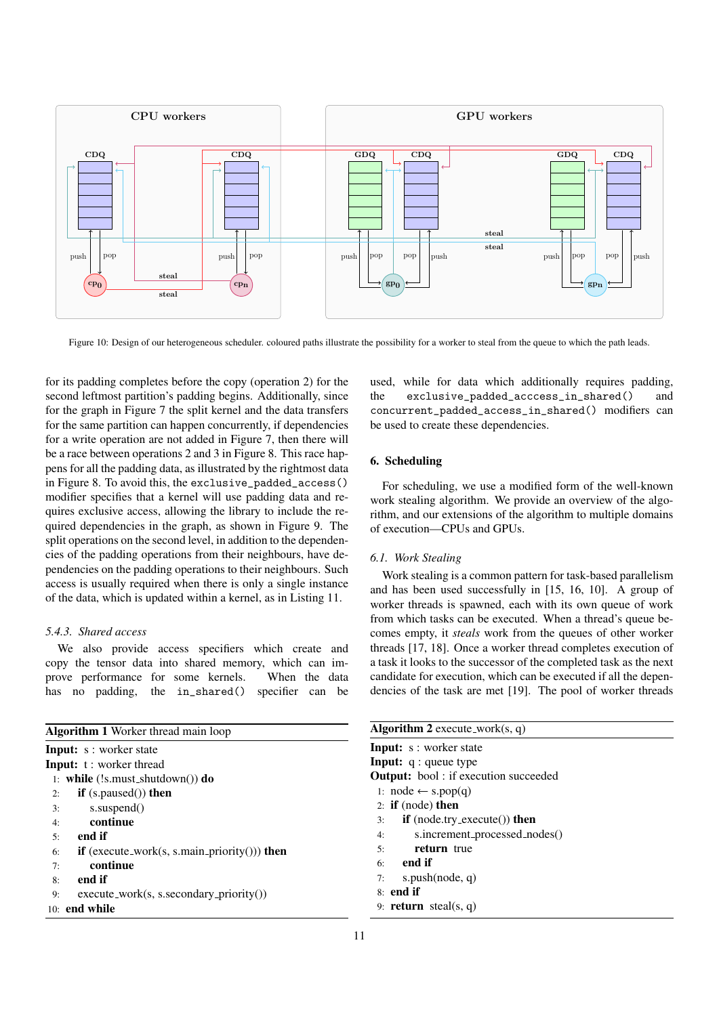

Figure 10: Design of our heterogeneous scheduler. coloured paths illustrate the possibility for a worker to steal from the queue to which the path leads.

for its padding completes before the copy (operation 2) for the second leftmost partition's padding begins. Additionally, since for the graph in Figure [7](#page-9-2) the split kernel and the data transfers for the same partition can happen concurrently, if dependencies for a write operation are not added in Figure [7,](#page-9-2) then there will be a race between operations 2 and 3 in Figure [8.](#page-9-3) This race happens for all the padding data, as illustrated by the rightmost data in Figure [8.](#page-9-3) To avoid this, the exclusive\_padded\_access() modifier specifies that a kernel will use padding data and requires exclusive access, allowing the library to include the required dependencies in the graph, as shown in Figure [9.](#page-9-4) The split operations on the second level, in addition to the dependencies of the padding operations from their neighbours, have dependencies on the padding operations to their neighbours. Such access is usually required when there is only a single instance of the data, which is updated within a kernel, as in Listing [11.](#page-9-5)

# *5.4.3. Shared access*

We also provide access specifiers which create and copy the tensor data into shared memory, which can improve performance for some kernels. When the data has no padding, the in\_shared() specifier can be

<span id="page-10-1"></span>

| <b>Algorithm 1</b> Worker thread main loop                       |
|------------------------------------------------------------------|
| <b>Input:</b> s : worker state                                   |
| <b>Input:</b> t: worker thread                                   |
| 1: while $(!s.must\_shutdown())$ do                              |
| $if$ (s.paused()) then<br>2:                                     |
| s.suspend()<br>3:                                                |
| continue<br>4:                                                   |
| end if<br>5:                                                     |
| <b>if</b> (execute_work(s, s.main_priority())) <b>then</b><br>6: |
| continue<br>7:                                                   |
| end if<br>8:                                                     |
| $execute_work(s, s.secondary_priority())$<br>9:                  |
| $10:$ end while                                                  |

used, while for data which additionally requires padding, the exclusive\_padded\_acccess\_in\_shared() and concurrent\_padded\_access\_in\_shared() modifiers can be used to create these dependencies.

# <span id="page-10-0"></span>6. Scheduling

For scheduling, we use a modified form of the well-known work stealing algorithm. We provide an overview of the algorithm, and our extensions of the algorithm to multiple domains of execution—CPUs and GPUs.

### *6.1. Work Stealing*

Work stealing is a common pattern for task-based parallelism and has been used successfully in [\[15,](#page-17-14) [16,](#page-17-15) [10\]](#page-17-9). A group of worker threads is spawned, each with its own queue of work from which tasks can be executed. When a thread's queue becomes empty, it *steals* work from the queues of other worker threads [\[17,](#page-17-16) [18\]](#page-17-17). Once a worker thread completes execution of a task it looks to the successor of the completed task as the next candidate for execution, which can be executed if all the dependencies of the task are met [\[19\]](#page-17-18). The pool of worker threads

<span id="page-10-2"></span>

| <b>Algorithm 2</b> execute_work $(s, q)$     |  |  |  |  |
|----------------------------------------------|--|--|--|--|
| <b>Input:</b> s : worker state               |  |  |  |  |
| <b>Input:</b> $q$ : queue type               |  |  |  |  |
| <b>Output:</b> bool : if execution succeeded |  |  |  |  |
| 1: $node \leftarrow s.pop(q)$                |  |  |  |  |
| 2: if $(node)$ then                          |  |  |  |  |
| $if$ (node.try_execute()) then<br>3:         |  |  |  |  |
| s.increment_processed_nodes()<br>4:          |  |  |  |  |
| return true<br>5:                            |  |  |  |  |
| $6:$ end if                                  |  |  |  |  |
| s.push(node, $q$ )<br>7:                     |  |  |  |  |
| $8:$ end if                                  |  |  |  |  |
| 9: <b>return</b> steal(s, q)                 |  |  |  |  |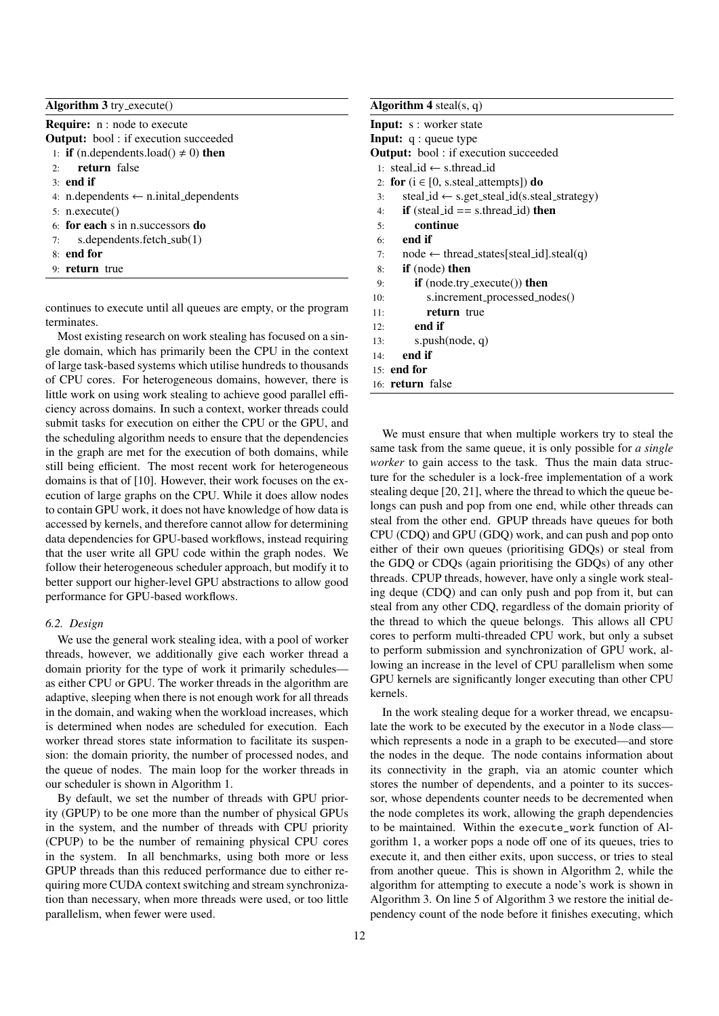# <span id="page-11-0"></span>Algorithm 3 try\_execute()

| <b>Require:</b> n : node to execute                     |
|---------------------------------------------------------|
| <b>Output:</b> bool: if execution succeeded             |
| 1: <b>if</b> (n.dependents.load() $\neq$ 0) <b>then</b> |
| $2:$ return false                                       |
| $3:$ end if                                             |
| 4: n.dependents $\leftarrow$ n.inital_dependents        |
| 5: n.execute()                                          |
| $6:$ for each s in n. successors do                     |
| s.dependents.fetch_sub(1)<br>7:                         |
| $81$ end for                                            |
| $9:$ return true                                        |
|                                                         |

continues to execute until all queues are empty, or the program terminates.

Most existing research on work stealing has focused on a single domain, which has primarily been the CPU in the context of large task-based systems which utilise hundreds to thousands of CPU cores. For heterogeneous domains, however, there is little work on using work stealing to achieve good parallel efficiency across domains. In such a context, worker threads could submit tasks for execution on either the CPU or the GPU, and the scheduling algorithm needs to ensure that the dependencies in the graph are met for the execution of both domains, while still being efficient. The most recent work for heterogeneous domains is that of [\[10\]](#page-17-9). However, their work focuses on the execution of large graphs on the CPU. While it does allow nodes to contain GPU work, it does not have knowledge of how data is accessed by kernels, and therefore cannot allow for determining data dependencies for GPU-based workflows, instead requiring that the user write all GPU code within the graph nodes. We follow their heterogeneous scheduler approach, but modify it to better support our higher-level GPU abstractions to allow good performance for GPU-based workflows.

#### *6.2. Design*

We use the general work stealing idea, with a pool of worker threads, however, we additionally give each worker thread a domain priority for the type of work it primarily schedules as either CPU or GPU. The worker threads in the algorithm are adaptive, sleeping when there is not enough work for all threads in the domain, and waking when the workload increases, which is determined when nodes are scheduled for execution. Each worker thread stores state information to facilitate its suspension: the domain priority, the number of processed nodes, and the queue of nodes. The main loop for the worker threads in our scheduler is shown in Algorithm [1.](#page-10-1)

By default, we set the number of threads with GPU priority (GPUP) to be one more than the number of physical GPUs in the system, and the number of threads with CPU priority (CPUP) to be the number of remaining physical CPU cores in the system. In all benchmarks, using both more or less GPUP threads than this reduced performance due to either requiring more CUDA context switching and stream synchronization than necessary, when more threads were used, or too little parallelism, when fewer were used.

# <span id="page-11-1"></span>Algorithm  $4$  steal(s, q) Input: s : worker state Input: q : queue type **Output:** bool : if execution succeeded 1: steal id ← s.thread id 2: for  $(i \in [0, s.$ steal\_attempts]) do 3: steal\_id  $\leftarrow$  s.get\_steal\_id(s.steal\_strategy) 4: **if** (steal  $id == s.$  thread  $id$ ) **then** 5: continue 6: end if 7: node  $\leftarrow$  thread\_states[steal\_id].steal(q) 8: if (node) then 9: if (node.try execute()) then 10: s.increment processed nodes() 11: return true 12: end if 13: s.push(node, q) 14: end if 15: end for

16: return false

We must ensure that when multiple workers try to steal the same task from the same queue, it is only possible for *a single worker* to gain access to the task. Thus the main data structure for the scheduler is a lock-free implementation of a work stealing deque [\[20,](#page-17-19) [21\]](#page-17-20), where the thread to which the queue belongs can push and pop from one end, while other threads can steal from the other end. GPUP threads have queues for both CPU (CDQ) and GPU (GDQ) work, and can push and pop onto either of their own queues (prioritising GDQs) or steal from the GDQ or CDQs (again prioritising the GDQs) of any other threads. CPUP threads, however, have only a single work stealing deque (CDQ) and can only push and pop from it, but can steal from any other CDQ, regardless of the domain priority of the thread to which the queue belongs. This allows all CPU cores to perform multi-threaded CPU work, but only a subset to perform submission and synchronization of GPU work, allowing an increase in the level of CPU parallelism when some GPU kernels are significantly longer executing than other CPU kernels.

In the work stealing deque for a worker thread, we encapsulate the work to be executed by the executor in a Node class which represents a node in a graph to be executed—and store the nodes in the deque. The node contains information about its connectivity in the graph, via an atomic counter which stores the number of dependents, and a pointer to its successor, whose dependents counter needs to be decremented when the node completes its work, allowing the graph dependencies to be maintained. Within the execute\_work function of Algorithm [1,](#page-10-1) a worker pops a node off one of its queues, tries to execute it, and then either exits, upon success, or tries to steal from another queue. This is shown in Algorithm [2,](#page-10-2) while the algorithm for attempting to execute a node's work is shown in Algorithm [3.](#page-11-0) On line 5 of Algorithm [3](#page-11-0) we restore the initial dependency count of the node before it finishes executing, which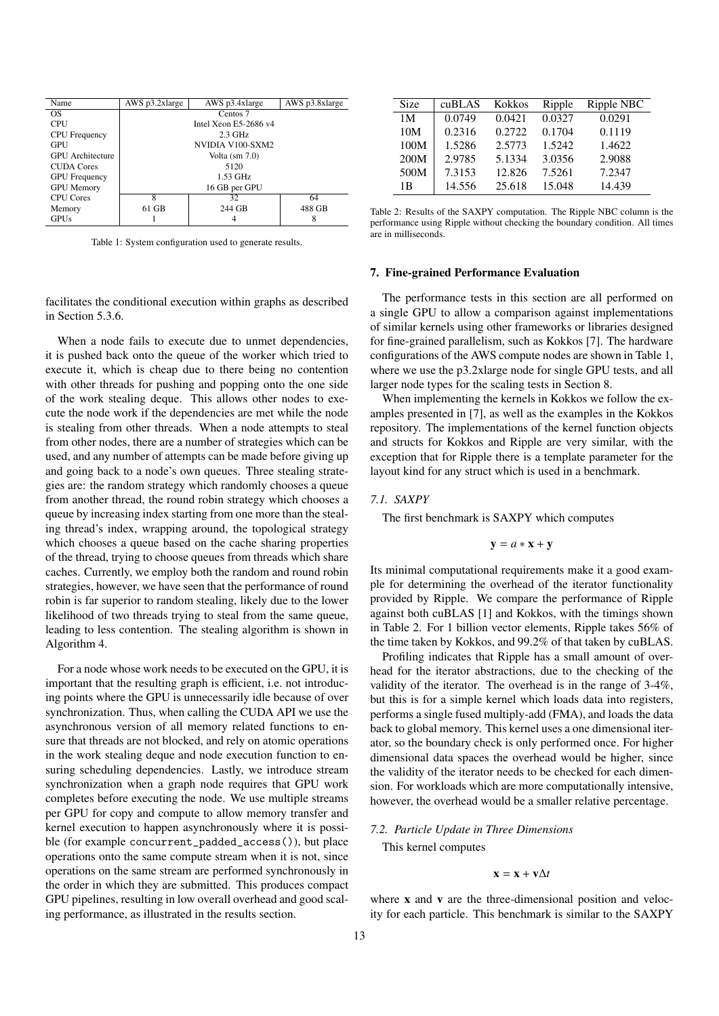<span id="page-12-1"></span>

| Name                    | AWS p3.2xlarge           | AWS p3.4xlarge   | AWS p3.8xlarge |  |
|-------------------------|--------------------------|------------------|----------------|--|
| OS                      | Centos 7                 |                  |                |  |
| <b>CPU</b>              | Intel Xeon $E$ 5-2686 v4 |                  |                |  |
| <b>CPU</b> Frequency    |                          | $2.3$ GHz        |                |  |
| GPU                     |                          | NVIDIA V100-SXM2 |                |  |
| <b>GPU</b> Architecture | Volta $(sm 7.0)$         |                  |                |  |
| <b>CUDA Cores</b>       | 5120                     |                  |                |  |
| <b>GPU</b> Frequency    | $1.53$ GHz               |                  |                |  |
| <b>GPU</b> Memory       | 16 GB per GPU            |                  |                |  |
| <b>CPU Cores</b>        | 8                        | 32               | 64             |  |
| Memory                  | 61 GB                    | 244 GB           | 488 GB         |  |
| <b>GPUs</b>             |                          | 4                | 8              |  |

Table 1: System configuration used to generate results.

facilitates the conditional execution within graphs as described in Section [5.3.6.](#page-8-4)

When a node fails to execute due to unmet dependencies, it is pushed back onto the queue of the worker which tried to execute it, which is cheap due to there being no contention with other threads for pushing and popping onto the one side of the work stealing deque. This allows other nodes to execute the node work if the dependencies are met while the node is stealing from other threads. When a node attempts to steal from other nodes, there are a number of strategies which can be used, and any number of attempts can be made before giving up and going back to a node's own queues. Three stealing strategies are: the random strategy which randomly chooses a queue from another thread, the round robin strategy which chooses a queue by increasing index starting from one more than the stealing thread's index, wrapping around, the topological strategy which chooses a queue based on the cache sharing properties of the thread, trying to choose queues from threads which share caches. Currently, we employ both the random and round robin strategies, however, we have seen that the performance of round robin is far superior to random stealing, likely due to the lower likelihood of two threads trying to steal from the same queue, leading to less contention. The stealing algorithm is shown in Algorithm [4.](#page-11-1)

For a node whose work needs to be executed on the GPU, it is important that the resulting graph is efficient, i.e. not introducing points where the GPU is unnecessarily idle because of over synchronization. Thus, when calling the CUDA API we use the asynchronous version of all memory related functions to ensure that threads are not blocked, and rely on atomic operations in the work stealing deque and node execution function to ensuring scheduling dependencies. Lastly, we introduce stream synchronization when a graph node requires that GPU work completes before executing the node. We use multiple streams per GPU for copy and compute to allow memory transfer and kernel execution to happen asynchronously where it is possible (for example concurrent\_padded\_access()), but place operations onto the same compute stream when it is not, since operations on the same stream are performed synchronously in the order in which they are submitted. This produces compact GPU pipelines, resulting in low overall overhead and good scaling performance, as illustrated in the results section.

<span id="page-12-2"></span>

| Size           | cuBLAS | <b>Kokkos</b> | Ripple | Ripple NBC |
|----------------|--------|---------------|--------|------------|
| 1 <sub>M</sub> | 0.0749 | 0.0421        | 0.0327 | 0.0291     |
| 10M            | 0.2316 | 0.2722        | 0.1704 | 0.1119     |
| 100M           | 1.5286 | 2.5773        | 1.5242 | 1.4622     |
| 200M           | 2.9785 | 5.1334        | 3.0356 | 2.9088     |
| 500M           | 7.3153 | 12.826        | 7.5261 | 7.2347     |
| 1 B            | 14.556 | 25.618        | 15.048 | 14.439     |

Table 2: Results of the SAXPY computation. The Ripple NBC column is the performance using Ripple without checking the boundary condition. All times are in milliseconds.

#### <span id="page-12-0"></span>7. Fine-grained Performance Evaluation

The performance tests in this section are all performed on a single GPU to allow a comparison against implementations of similar kernels using other frameworks or libraries designed for fine-grained parallelism, such as Kokkos [\[7\]](#page-17-6). The hardware configurations of the AWS compute nodes are shown in Table [1,](#page-12-1) where we use the p3.2xlarge node for single GPU tests, and all larger node types for the scaling tests in Section [8.](#page-14-0)

When implementing the kernels in Kokkos we follow the examples presented in [\[7\]](#page-17-6), as well as the examples in the Kokkos repository. The implementations of the kernel function objects and structs for Kokkos and Ripple are very similar, with the exception that for Ripple there is a template parameter for the layout kind for any struct which is used in a benchmark.

# *7.1. SAXPY*

The first benchmark is SAXPY which computes

$$
\mathbf{y} = a * \mathbf{x} + \mathbf{y}
$$

Its minimal computational requirements make it a good example for determining the overhead of the iterator functionality provided by Ripple. We compare the performance of Ripple against both cuBLAS [\[1\]](#page-17-0) and Kokkos, with the timings shown in Table [2.](#page-12-2) For 1 billion vector elements, Ripple takes 56% of the time taken by Kokkos, and 99.2% of that taken by cuBLAS.

Profiling indicates that Ripple has a small amount of overhead for the iterator abstractions, due to the checking of the validity of the iterator. The overhead is in the range of 3-4%, but this is for a simple kernel which loads data into registers, performs a single fused multiply-add (FMA), and loads the data back to global memory. This kernel uses a one dimensional iterator, so the boundary check is only performed once. For higher dimensional data spaces the overhead would be higher, since the validity of the iterator needs to be checked for each dimension. For workloads which are more computationally intensive, however, the overhead would be a smaller relative percentage.

### <span id="page-12-3"></span>*7.2. Particle Update in Three Dimensions*

This kernel computes

$$
\mathbf{x} = \mathbf{x} + \mathbf{v} \Delta t
$$

where **x** and **v** are the three-dimensional position and velocity for each particle. This benchmark is similar to the SAXPY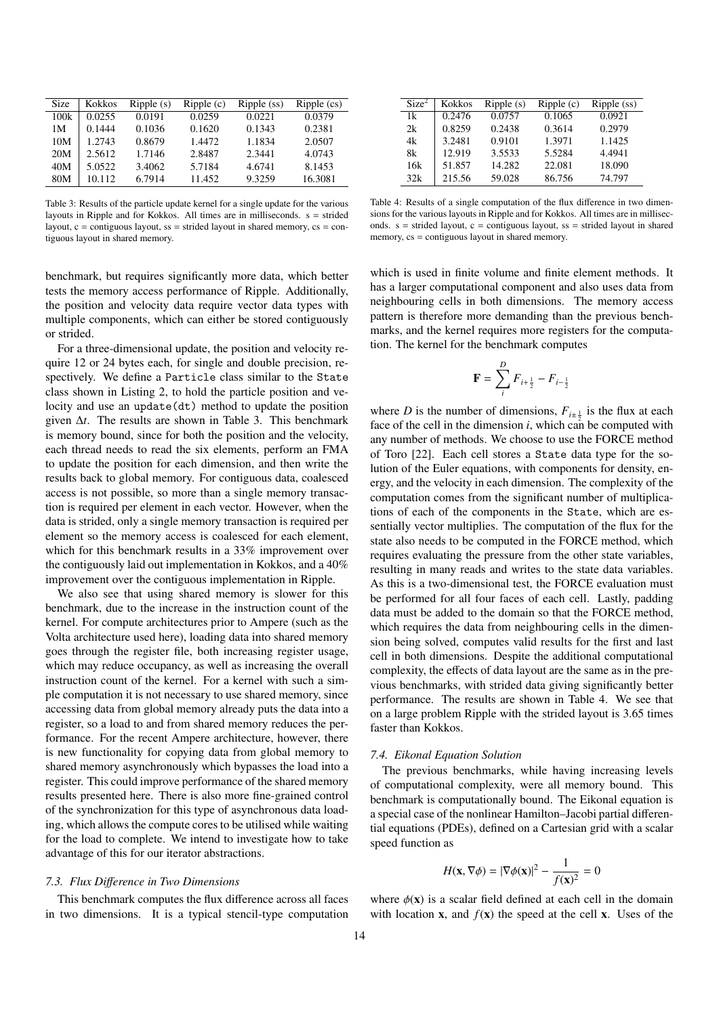<span id="page-13-0"></span>

| Size | Kokkos | Ripple(s) | Ripple(c) | Ripple (ss) | $Ripple$ (cs) |
|------|--------|-----------|-----------|-------------|---------------|
| 100k | 0.0255 | 0.0191    | 0.0259    | 0.0221      | 0.0379        |
| 1M   | 0.1444 | 0.1036    | 0.1620    | 0.1343      | 0.2381        |
| 10M  | 1.2743 | 0.8679    | 1.4472    | 1.1834      | 2.0507        |
| 20M  | 2.5612 | 1.7146    | 2.8487    | 2.3441      | 4.0743        |
| 40M  | 5.0522 | 3.4062    | 5.7184    | 4.6741      | 8.1453        |
| 80M  | 10.112 | 6.7914    | 11.452    | 9.3259      | 16.3081       |

Table 3: Results of the particle update kernel for a single update for the various layouts in Ripple and for Kokkos. All times are in milliseconds. s = strided layout,  $c =$  contiguous layout, ss = strided layout in shared memory,  $cs =$  contiguous layout in shared memory.

benchmark, but requires significantly more data, which better tests the memory access performance of Ripple. Additionally, the position and velocity data require vector data types with multiple components, which can either be stored contiguously or strided.

For a three-dimensional update, the position and velocity require 12 or 24 bytes each, for single and double precision, respectively. We define a Particle class similar to the State class shown in Listing [2,](#page-4-2) to hold the particle position and velocity and use an update(dt) method to update the position given ∆*t*. The results are shown in Table [3.](#page-13-0) This benchmark is memory bound, since for both the position and the velocity, each thread needs to read the six elements, perform an FMA to update the position for each dimension, and then write the results back to global memory. For contiguous data, coalesced access is not possible, so more than a single memory transaction is required per element in each vector. However, when the data is strided, only a single memory transaction is required per element so the memory access is coalesced for each element, which for this benchmark results in a 33% improvement over the contiguously laid out implementation in Kokkos, and a 40% improvement over the contiguous implementation in Ripple.

We also see that using shared memory is slower for this benchmark, due to the increase in the instruction count of the kernel. For compute architectures prior to Ampere (such as the Volta architecture used here), loading data into shared memory goes through the register file, both increasing register usage, which may reduce occupancy, as well as increasing the overall instruction count of the kernel. For a kernel with such a simple computation it is not necessary to use shared memory, since accessing data from global memory already puts the data into a register, so a load to and from shared memory reduces the performance. For the recent Ampere architecture, however, there is new functionality for copying data from global memory to shared memory asynchronously which bypasses the load into a register. This could improve performance of the shared memory results presented here. There is also more fine-grained control of the synchronization for this type of asynchronous data loading, which allows the compute cores to be utilised while waiting for the load to complete. We intend to investigate how to take advantage of this for our iterator abstractions.

#### *7.3. Flux Di*ff*erence in Two Dimensions*

This benchmark computes the flux difference across all faces in two dimensions. It is a typical stencil-type computation

<span id="page-13-1"></span>

| Size <sup>2</sup> | Kokkos | Ripple(s) | Ripple(c) | Ripple (ss) |
|-------------------|--------|-----------|-----------|-------------|
| 1k                | 0.2476 | 0.0757    | 0.1065    | 0.0921      |
| 2k                | 0.8259 | 0.2438    | 0.3614    | 0.2979      |
| 4k                | 3.2481 | 0.9101    | 1.3971    | 1.1425      |
| 8k                | 12.919 | 3.5533    | 5.5284    | 4.4941      |
| 16k               | 51.857 | 14.282    | 22.081    | 18.090      |
| 32k               | 215.56 | 59.028    | 86.756    | 74.797      |

Table 4: Results of a single computation of the flux difference in two dimensions for the various layouts in Ripple and for Kokkos. All times are in milliseconds.  $s =$  strided layout,  $c =$  contiguous layout,  $ss =$  strided layout in shared memory, cs = contiguous layout in shared memory.

which is used in finite volume and finite element methods. It has a larger computational component and also uses data from neighbouring cells in both dimensions. The memory access pattern is therefore more demanding than the previous benchmarks, and the kernel requires more registers for the computation. The kernel for the benchmark computes

$$
\mathbf{F} = \sum_{i}^{D} F_{i + \frac{1}{2}} - F_{i - \frac{1}{2}}
$$

where *D* is the number of dimensions,  $F_{i\pm\frac{1}{2}}$  is the flux at each face of the cell in the dimension *i*, which can be computed with any number of methods. We choose to use the FORCE method of Toro [\[22\]](#page-17-21). Each cell stores a State data type for the solution of the Euler equations, with components for density, energy, and the velocity in each dimension. The complexity of the computation comes from the significant number of multiplications of each of the components in the State, which are essentially vector multiplies. The computation of the flux for the state also needs to be computed in the FORCE method, which requires evaluating the pressure from the other state variables, resulting in many reads and writes to the state data variables. As this is a two-dimensional test, the FORCE evaluation must be performed for all four faces of each cell. Lastly, padding data must be added to the domain so that the FORCE method, which requires the data from neighbouring cells in the dimension being solved, computes valid results for the first and last cell in both dimensions. Despite the additional computational complexity, the effects of data layout are the same as in the previous benchmarks, with strided data giving significantly better performance. The results are shown in Table [4.](#page-13-1) We see that on a large problem Ripple with the strided layout is 3.65 times faster than Kokkos.

#### *7.4. Eikonal Equation Solution*

The previous benchmarks, while having increasing levels of computational complexity, were all memory bound. This benchmark is computationally bound. The Eikonal equation is a special case of the nonlinear Hamilton–Jacobi partial differential equations (PDEs), defined on a Cartesian grid with a scalar speed function as

$$
H(\mathbf{x}, \nabla \phi) = |\nabla \phi(\mathbf{x})|^2 - \frac{1}{f(\mathbf{x})^2} = 0
$$

where  $\phi(\mathbf{x})$  is a scalar field defined at each cell in the domain with location **x**, and  $f(x)$  the speed at the cell **x**. Uses of the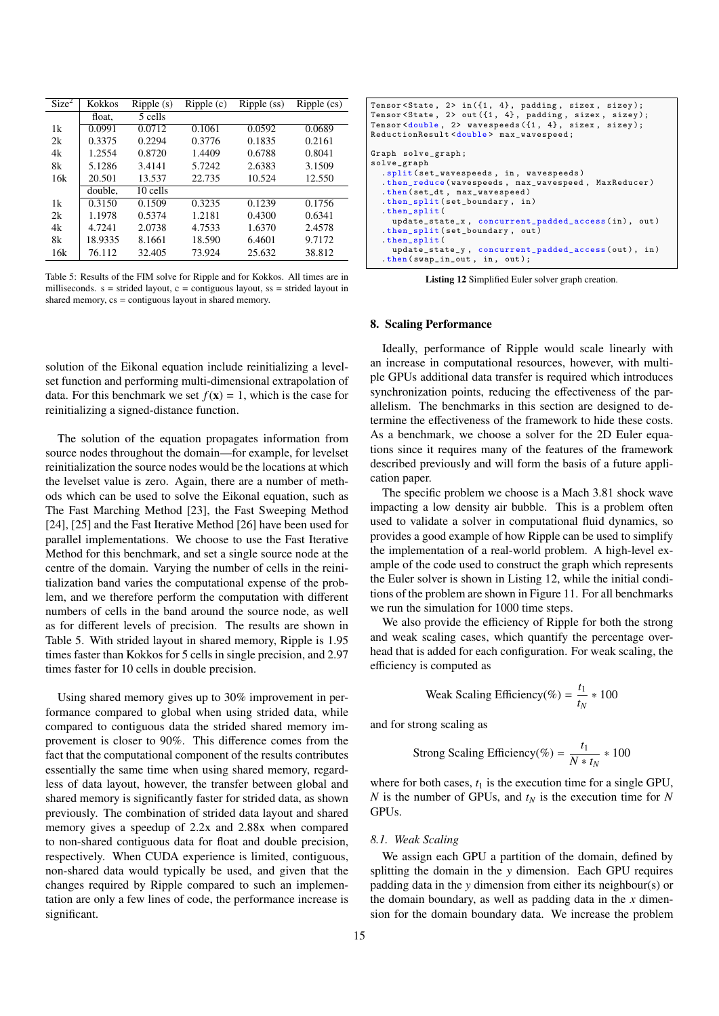<span id="page-14-1"></span>

| Size <sup>2</sup> | <b>Kokkos</b> | Ripple(s) | Ripple(c) | Ripple (ss) | Ripple (cs) |
|-------------------|---------------|-----------|-----------|-------------|-------------|
|                   | float,        | 5 cells   |           |             |             |
| 1k                | 0.0991        | 0.0712    | 0.1061    | 0.0592      | 0.0689      |
| 2k                | 0.3375        | 0.2294    | 0.3776    | 0.1835      | 0.2161      |
| 4k                | 1.2554        | 0.8720    | 1.4409    | 0.6788      | 0.8041      |
| 8k                | 5.1286        | 3.4141    | 5.7242    | 2.6383      | 3.1509      |
| 16k               | 20.501        | 13.537    | 22.735    | 10.524      | 12.550      |
|                   | double,       | 10 cells  |           |             |             |
| 1k                | 0.3150        | 0.1509    | 0.3235    | 0.1239      | 0.1756      |
| 2k                | 1.1978        | 0.5374    | 1.2181    | 0.4300      | 0.6341      |
| 4k                | 4.7241        | 2.0738    | 4.7533    | 1.6370      | 2.4578      |
| 8k                | 18.9335       | 8.1661    | 18.590    | 6.4601      | 9.7172      |
| 16k               | 76.112        | 32.405    | 73.924    | 25.632      | 38.812      |

Table 5: Results of the FIM solve for Ripple and for Kokkos. All times are in milliseconds.  $s =$  strided layout,  $c =$  contiguous layout,  $ss =$  strided layout in shared memory, cs = contiguous layout in shared memory.

solution of the Eikonal equation include reinitializing a levelset function and performing multi-dimensional extrapolation of data. For this benchmark we set  $f(\mathbf{x}) = 1$ , which is the case for reinitializing a signed-distance function.

The solution of the equation propagates information from source nodes throughout the domain—for example, for levelset reinitialization the source nodes would be the locations at which the levelset value is zero. Again, there are a number of methods which can be used to solve the Eikonal equation, such as The Fast Marching Method [\[23\]](#page-17-22), the Fast Sweeping Method [\[24\]](#page-17-23), [\[25\]](#page-17-24) and the Fast Iterative Method [\[26\]](#page-17-25) have been used for parallel implementations. We choose to use the Fast Iterative Method for this benchmark, and set a single source node at the centre of the domain. Varying the number of cells in the reinitialization band varies the computational expense of the problem, and we therefore perform the computation with different numbers of cells in the band around the source node, as well as for different levels of precision. The results are shown in Table [5.](#page-14-1) With strided layout in shared memory, Ripple is 1.95 times faster than Kokkos for 5 cells in single precision, and 2.97 times faster for 10 cells in double precision.

Using shared memory gives up to 30% improvement in performance compared to global when using strided data, while compared to contiguous data the strided shared memory improvement is closer to 90%. This difference comes from the fact that the computational component of the results contributes essentially the same time when using shared memory, regardless of data layout, however, the transfer between global and shared memory is significantly faster for strided data, as shown previously. The combination of strided data layout and shared memory gives a speedup of 2.2x and 2.88x when compared to non-shared contiguous data for float and double precision, respectively. When CUDA experience is limited, contiguous, non-shared data would typically be used, and given that the changes required by Ripple compared to such an implementation are only a few lines of code, the performance increase is significant.

<span id="page-14-2"></span>

| Tensor $\text{State}$ , 2> in({1, 4}, padding, sizex, sizey);<br>Tensor <state, 2=""> out({1, 4}, padding, sizex, sizey);</state,> |
|------------------------------------------------------------------------------------------------------------------------------------|
| Tensor <double, <math="">2&gt; wavespeeds<math>(\{1, 4\}, \{size, size\})</math>;</double,>                                        |
| ReductionResult <double> max_wavespeed;</double>                                                                                   |
|                                                                                                                                    |
| Graph solve_graph;                                                                                                                 |
| solve_graph                                                                                                                        |
| .split(set_wavespeeds, in, wavespeeds)                                                                                             |
| .then_reduce(wavespeeds, max_wavespeed, MaxReducer)                                                                                |
| .then (set_dt, max_wavespeed)                                                                                                      |
| $.$ then_split(set_boundary, in)                                                                                                   |
| .then_split(                                                                                                                       |
| update_state_x, concurrent_padded_access(in), out)                                                                                 |
| .then_split(set_boundary, out)                                                                                                     |
| then_split(                                                                                                                        |
| update_state_y, concurrent_padded_access(out), in)                                                                                 |
| $.$ then $(swap_in_out, in, out);$                                                                                                 |

Listing 12 Simplified Euler solver graph creation.

### <span id="page-14-0"></span>8. Scaling Performance

Ideally, performance of Ripple would scale linearly with an increase in computational resources, however, with multiple GPUs additional data transfer is required which introduces synchronization points, reducing the effectiveness of the parallelism. The benchmarks in this section are designed to determine the effectiveness of the framework to hide these costs. As a benchmark, we choose a solver for the 2D Euler equations since it requires many of the features of the framework described previously and will form the basis of a future application paper.

The specific problem we choose is a Mach 3.81 shock wave impacting a low density air bubble. This is a problem often used to validate a solver in computational fluid dynamics, so provides a good example of how Ripple can be used to simplify the implementation of a real-world problem. A high-level example of the code used to construct the graph which represents the Euler solver is shown in Listing [12,](#page-14-2) while the initial conditions of the problem are shown in Figure [11.](#page-15-1) For all benchmarks we run the simulation for 1000 time steps.

We also provide the efficiency of Ripple for both the strong and weak scaling cases, which quantify the percentage overhead that is added for each configuration. For weak scaling, the efficiency is computed as

Weak Scaling Efficiency(
$$
\%
$$
) =  $\frac{t_1}{t_N} * 100$ 

and for strong scaling as

Strong Scaling Efficiency(
$$
\%
$$
) =  $\frac{t_1}{N * t_N} * 100$ 

where for both cases,  $t_1$  is the execution time for a single GPU, *N* is the number of GPUs, and *t<sup>N</sup>* is the execution time for *N* GPUs.

### *8.1. Weak Scaling*

We assign each GPU a partition of the domain, defined by splitting the domain in the *y* dimension. Each GPU requires padding data in the *y* dimension from either its neighbour(s) or the domain boundary, as well as padding data in the *x* dimension for the domain boundary data. We increase the problem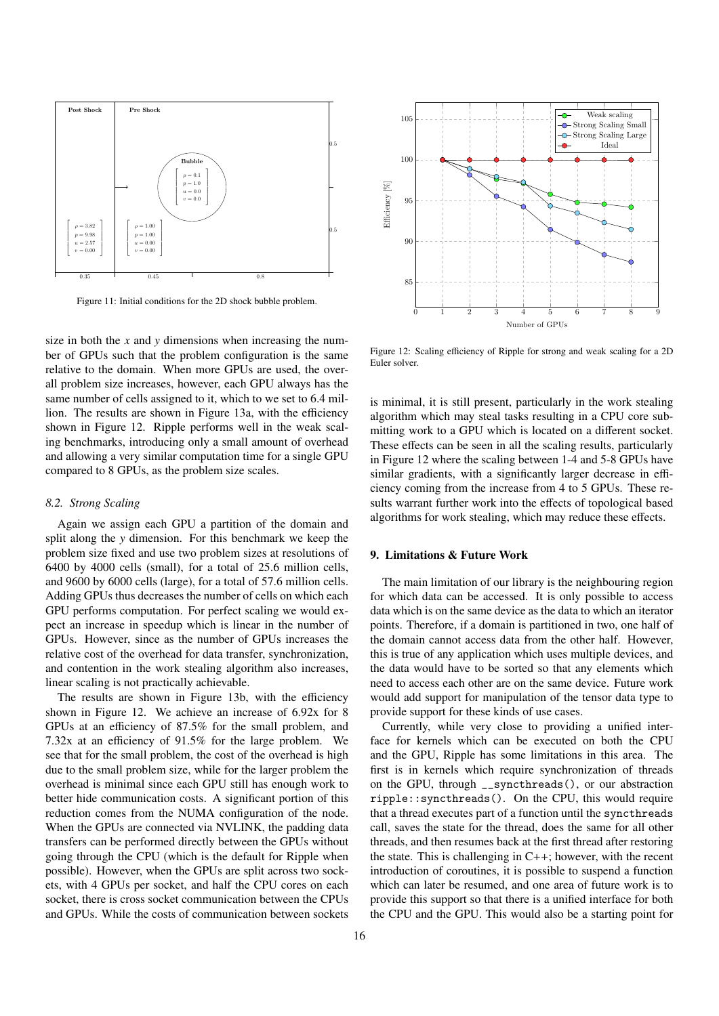<span id="page-15-1"></span>

Figure 11: Initial conditions for the 2D shock bubble problem.

size in both the *x* and *y* dimensions when increasing the number of GPUs such that the problem configuration is the same relative to the domain. When more GPUs are used, the overall problem size increases, however, each GPU always has the same number of cells assigned to it, which to we set to 6.4 million. The results are shown in Figure [13a,](#page-16-1) with the efficiency shown in Figure [12.](#page-15-2) Ripple performs well in the weak scaling benchmarks, introducing only a small amount of overhead and allowing a very similar computation time for a single GPU compared to 8 GPUs, as the problem size scales.

### *8.2. Strong Scaling*

Again we assign each GPU a partition of the domain and split along the *y* dimension. For this benchmark we keep the problem size fixed and use two problem sizes at resolutions of 6400 by 4000 cells (small), for a total of 25.6 million cells, and 9600 by 6000 cells (large), for a total of 57.6 million cells. Adding GPUs thus decreases the number of cells on which each GPU performs computation. For perfect scaling we would expect an increase in speedup which is linear in the number of GPUs. However, since as the number of GPUs increases the relative cost of the overhead for data transfer, synchronization, and contention in the work stealing algorithm also increases, linear scaling is not practically achievable.

The results are shown in Figure [13b,](#page-16-1) with the efficiency shown in Figure [12.](#page-15-2) We achieve an increase of 6.92x for 8 GPUs at an efficiency of 87.5% for the small problem, and 7.32x at an efficiency of 91.5% for the large problem. We see that for the small problem, the cost of the overhead is high due to the small problem size, while for the larger problem the overhead is minimal since each GPU still has enough work to better hide communication costs. A significant portion of this reduction comes from the NUMA configuration of the node. When the GPUs are connected via NVLINK, the padding data transfers can be performed directly between the GPUs without going through the CPU (which is the default for Ripple when possible). However, when the GPUs are split across two sockets, with 4 GPUs per socket, and half the CPU cores on each socket, there is cross socket communication between the CPUs and GPUs. While the costs of communication between sockets

<span id="page-15-2"></span>

Figure 12: Scaling efficiency of Ripple for strong and weak scaling for a 2D Euler solver.

is minimal, it is still present, particularly in the work stealing algorithm which may steal tasks resulting in a CPU core submitting work to a GPU which is located on a different socket. These effects can be seen in all the scaling results, particularly in Figure [12](#page-15-2) where the scaling between 1-4 and 5-8 GPUs have similar gradients, with a significantly larger decrease in efficiency coming from the increase from 4 to 5 GPUs. These results warrant further work into the effects of topological based algorithms for work stealing, which may reduce these effects.

### <span id="page-15-0"></span>9. Limitations & Future Work

The main limitation of our library is the neighbouring region for which data can be accessed. It is only possible to access data which is on the same device as the data to which an iterator points. Therefore, if a domain is partitioned in two, one half of the domain cannot access data from the other half. However, this is true of any application which uses multiple devices, and the data would have to be sorted so that any elements which need to access each other are on the same device. Future work would add support for manipulation of the tensor data type to provide support for these kinds of use cases.

Currently, while very close to providing a unified interface for kernels which can be executed on both the CPU and the GPU, Ripple has some limitations in this area. The first is in kernels which require synchronization of threads on the GPU, through \_\_syncthreads(), or our abstraction ripple::syncthreads(). On the CPU, this would require that a thread executes part of a function until the syncthreads call, saves the state for the thread, does the same for all other threads, and then resumes back at the first thread after restoring the state. This is challenging in  $C++$ ; however, with the recent introduction of coroutines, it is possible to suspend a function which can later be resumed, and one area of future work is to provide this support so that there is a unified interface for both the CPU and the GPU. This would also be a starting point for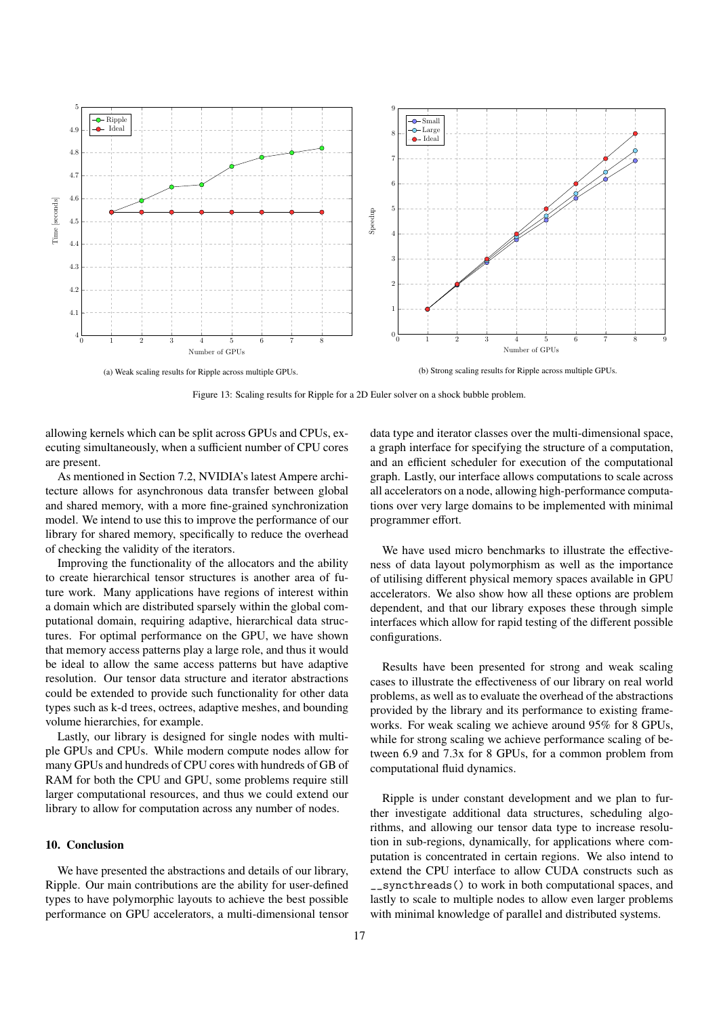<span id="page-16-1"></span>

Figure 13: Scaling results for Ripple for a 2D Euler solver on a shock bubble problem.

allowing kernels which can be split across GPUs and CPUs, executing simultaneously, when a sufficient number of CPU cores are present.

As mentioned in Section [7.2,](#page-12-3) NVIDIA's latest Ampere architecture allows for asynchronous data transfer between global and shared memory, with a more fine-grained synchronization model. We intend to use this to improve the performance of our library for shared memory, specifically to reduce the overhead of checking the validity of the iterators.

Improving the functionality of the allocators and the ability to create hierarchical tensor structures is another area of future work. Many applications have regions of interest within a domain which are distributed sparsely within the global computational domain, requiring adaptive, hierarchical data structures. For optimal performance on the GPU, we have shown that memory access patterns play a large role, and thus it would be ideal to allow the same access patterns but have adaptive resolution. Our tensor data structure and iterator abstractions could be extended to provide such functionality for other data types such as k-d trees, octrees, adaptive meshes, and bounding volume hierarchies, for example.

Lastly, our library is designed for single nodes with multiple GPUs and CPUs. While modern compute nodes allow for many GPUs and hundreds of CPU cores with hundreds of GB of RAM for both the CPU and GPU, some problems require still larger computational resources, and thus we could extend our library to allow for computation across any number of nodes.

# <span id="page-16-0"></span>10. Conclusion

We have presented the abstractions and details of our library, Ripple. Our main contributions are the ability for user-defined types to have polymorphic layouts to achieve the best possible performance on GPU accelerators, a multi-dimensional tensor

data type and iterator classes over the multi-dimensional space, a graph interface for specifying the structure of a computation, and an efficient scheduler for execution of the computational graph. Lastly, our interface allows computations to scale across all accelerators on a node, allowing high-performance computations over very large domains to be implemented with minimal programmer effort.

We have used micro benchmarks to illustrate the effectiveness of data layout polymorphism as well as the importance of utilising different physical memory spaces available in GPU accelerators. We also show how all these options are problem dependent, and that our library exposes these through simple interfaces which allow for rapid testing of the different possible configurations.

Results have been presented for strong and weak scaling cases to illustrate the effectiveness of our library on real world problems, as well as to evaluate the overhead of the abstractions provided by the library and its performance to existing frameworks. For weak scaling we achieve around 95% for 8 GPUs, while for strong scaling we achieve performance scaling of between 6.9 and 7.3x for 8 GPUs, for a common problem from computational fluid dynamics.

Ripple is under constant development and we plan to further investigate additional data structures, scheduling algorithms, and allowing our tensor data type to increase resolution in sub-regions, dynamically, for applications where computation is concentrated in certain regions. We also intend to extend the CPU interface to allow CUDA constructs such as \_\_syncthreads() to work in both computational spaces, and lastly to scale to multiple nodes to allow even larger problems with minimal knowledge of parallel and distributed systems.